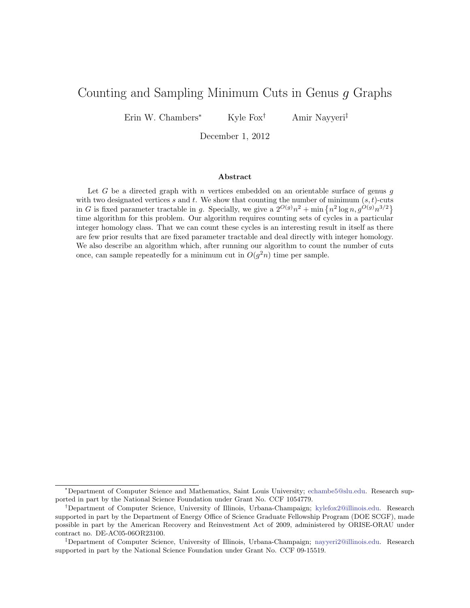# Counting and Sampling Minimum Cuts in Genus g Graphs

Erin W. Chambers<sup>∗</sup> Kyle Fox† Amir Nayyeri‡

December 1, 2012

#### Abstract

Let  $G$  be a directed graph with  $n$  vertices embedded on an orientable surface of genus  $g$ with two designated vertices s and t. We show that counting the number of minimum  $(s, t)$ -cuts in G is fixed parameter tractable in g. Specially, we give a  $2^{O(g)}n^2 + \min \{n^2 \log n, g^{O(g)}n^{3/2}\}\$ time algorithm for this problem. Our algorithm requires counting sets of cycles in a particular integer homology class. That we can count these cycles is an interesting result in itself as there are few prior results that are fixed parameter tractable and deal directly with integer homology. We also describe an algorithm which, after running our algorithm to count the number of cuts once, can sample repeatedly for a minimum cut in  $O(g^2n)$  time per sample.

<sup>∗</sup>Department of Computer Science and Mathematics, Saint Louis University; [echambe5@slu.edu.](echambe5@slu.edu) Research supported in part by the National Science Foundation under Grant No. CCF 1054779.

<sup>†</sup>Department of Computer Science, University of Illinois, Urbana-Champaign; [kylefox2@illinois.edu.](kylefox2@illinois.edu) Research supported in part by the Department of Energy Office of Science Graduate Fellowship Program (DOE SCGF), made possible in part by the American Recovery and Reinvestment Act of 2009, administered by ORISE-ORAU under contract no. DE-AC05-06OR23100.

<sup>‡</sup>Department of Computer Science, University of Illinois, Urbana-Champaign; [nayyeri2@illinois.edu.](nayyeri2@illinois.edu) Research supported in part by the National Science Foundation under Grant No. CCF 09-15519.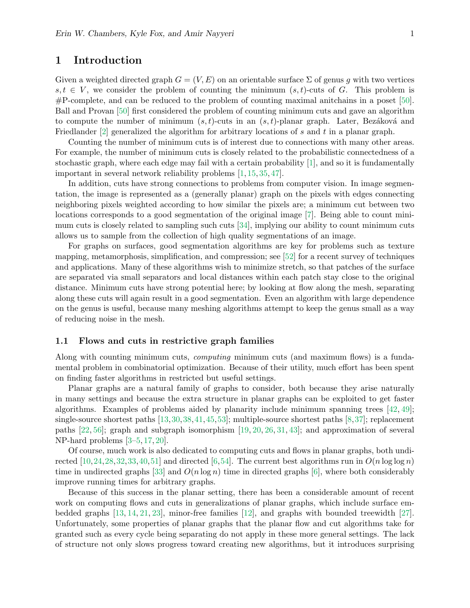## 1 Introduction

Given a weighted directed graph  $G = (V, E)$  on an orientable surface  $\Sigma$  of genus g with two vertices  $s, t \in V$ , we consider the problem of counting the minimum  $(s, t)$ -cuts of G. This problem is #P-complete, and can be reduced to the problem of counting maximal anitchains in a poset [\[50\]](#page-14-0). Ball and Provan [\[50\]](#page-14-0) first considered the problem of counting minimum cuts and gave an algorithm to compute the number of minimum  $(s, t)$ -cuts in an  $(s, t)$ -planar graph. Later, Bezáková and Friedlander [\[2\]](#page-11-0) generalized the algorithm for arbitrary locations of s and t in a planar graph.

Counting the number of minimum cuts is of interest due to connections with many other areas. For example, the number of minimum cuts is closely related to the probabilistic connectedness of a stochastic graph, where each edge may fail with a certain probability [\[1\]](#page-11-1), and so it is fundamentally important in several network reliability problems [\[1,](#page-11-1) [15,](#page-12-0) [35,](#page-13-0) [47\]](#page-13-1).

In addition, cuts have strong connections to problems from computer vision. In image segmentation, the image is represented as a (generally planar) graph on the pixels with edges connecting neighboring pixels weighted according to how similar the pixels are; a minimum cut between two locations corresponds to a good segmentation of the original image [\[7\]](#page-11-2). Being able to count minimum cuts is closely related to sampling such cuts [\[34\]](#page-13-2), implying our ability to count minimum cuts allows us to sample from the collection of high quality segmentations of an image.

For graphs on surfaces, good segmentation algorithms are key for problems such as texture mapping, metamorphosis, simplification, and compression; see [\[52\]](#page-14-1) for a recent survey of techniques and applications. Many of these algorithms wish to minimize stretch, so that patches of the surface are separated via small separators and local distances within each patch stay close to the original distance. Minimum cuts have strong potential here; by looking at flow along the mesh, separating along these cuts will again result in a good segmentation. Even an algorithm with large dependence on the genus is useful, because many meshing algorithms attempt to keep the genus small as a way of reducing noise in the mesh.

#### 1.1 Flows and cuts in restrictive graph families

Along with counting minimum cuts, computing minimum cuts (and maximum flows) is a fundamental problem in combinatorial optimization. Because of their utility, much effort has been spent on finding faster algorithms in restricted but useful settings.

Planar graphs are a natural family of graphs to consider, both because they arise naturally in many settings and because the extra structure in planar graphs can be exploited to get faster algorithms. Examples of problems aided by planarity include minimum spanning trees [\[42,](#page-13-3) [49\]](#page-14-2); single-source shortest paths [\[13,](#page-11-3)[30,](#page-12-1)[38,](#page-13-4)[41,](#page-13-5)[45,](#page-13-6)[53\]](#page-14-3); multiple-source shortest paths [\[8,](#page-11-4)[37\]](#page-13-7); replacement paths [\[22,](#page-12-2) [56\]](#page-14-4); graph and subgraph isomorphism [\[19,](#page-12-3) [20,](#page-12-4) [26,](#page-12-5) [31,](#page-12-6) [43\]](#page-13-8); and approximation of several NP-hard problems [\[3](#page-11-5)[–5,](#page-11-6) [17,](#page-12-7) [20\]](#page-12-4).

Of course, much work is also dedicated to computing cuts and flows in planar graphs, both undi-rected [\[10,](#page-11-7)[24,](#page-12-8)[28,](#page-12-9)[32,](#page-13-9)[33,](#page-13-10)[40,](#page-13-11)[51\]](#page-14-5) and directed [\[6,](#page-11-8)[54\]](#page-14-6). The current best algorithms run in  $O(n \log \log n)$ time in undirected graphs [\[33\]](#page-13-10) and  $O(n \log n)$  time in directed graphs [\[6\]](#page-11-8), where both considerably improve running times for arbitrary graphs.

Because of this success in the planar setting, there has been a considerable amount of recent work on computing flows and cuts in generalizations of planar graphs, which include surface embedded graphs [\[13,](#page-11-3) [14,](#page-11-9) [21,](#page-12-10) [23\]](#page-12-11), minor-free families [\[12\]](#page-11-10), and graphs with bounded treewidth [\[27\]](#page-12-12). Unfortunately, some properties of planar graphs that the planar flow and cut algorithms take for granted such as every cycle being separating do not apply in these more general settings. The lack of structure not only slows progress toward creating new algorithms, but it introduces surprising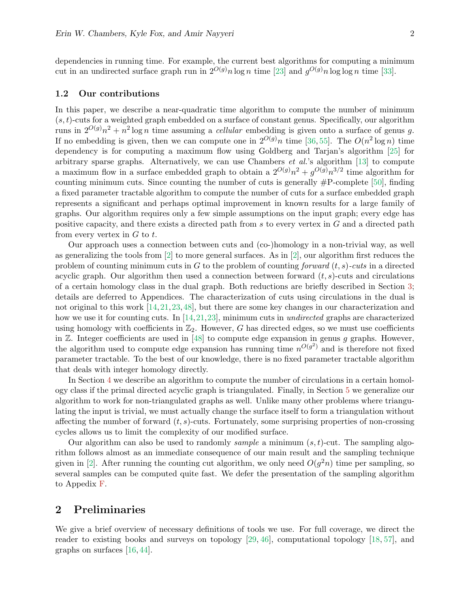dependencies in running time. For example, the current best algorithms for computing a minimum cut in an undirected surface graph run in  $2^{O(g)}n \log n$  time [\[23\]](#page-12-11) and  $g^{O(g)}n \log \log n$  time [\[33\]](#page-13-10).

#### 1.2 Our contributions

In this paper, we describe a near-quadratic time algorithm to compute the number of minimum  $(s, t)$ -cuts for a weighted graph embedded on a surface of constant genus. Specifically, our algorithm runs in  $2^{O(g)}n^2 + n^2 \log n$  time assuming a *cellular* embedding is given onto a surface of genus g. If no embedding is given, then we can compute one in  $2^{O(g)}n$  time [\[36,](#page-13-12) [55\]](#page-14-7). The  $O(n^2 \log n)$  time dependency is for computing a maximum flow using Goldberg and Tarjan's algorithm [\[25\]](#page-12-13) for arbitrary sparse graphs. Alternatively, we can use Chambers  $et al.'s$  algorithm [\[13\]](#page-11-3) to compute a maximum flow in a surface embedded graph to obtain a  $2^{O(g)}n^2 + g^{O(g)}n^{3/2}$  time algorithm for counting minimum cuts. Since counting the number of cuts is generally  $#P$ -complete [\[50\]](#page-14-0), finding a fixed parameter tractable algorithm to compute the number of cuts for a surface embedded graph represents a significant and perhaps optimal improvement in known results for a large family of graphs. Our algorithm requires only a few simple assumptions on the input graph; every edge has positive capacity, and there exists a directed path from s to every vertex in G and a directed path from every vertex in  $G$  to  $t$ .

Our approach uses a connection between cuts and (co-)homology in a non-trivial way, as well as generalizing the tools from  $[2]$  to more general surfaces. As in  $[2]$ , our algorithm first reduces the problem of counting minimum cuts in G to the problem of counting forward  $(t, s)$ -cuts in a directed acyclic graph. Our algorithm then used a connection between forward  $(t, s)$ -cuts and circulations of a certain homology class in the dual graph. Both reductions are briefly described in Section [3;](#page-5-0) details are deferred to Appendices. The characterization of cuts using circulations in the dual is not original to this work [\[14,](#page-11-9)[21,](#page-12-10)[23,](#page-12-11)[48\]](#page-14-8), but there are some key changes in our characterization and how we use it for counting cuts. In [\[14,](#page-11-9)[21,](#page-12-10)[23\]](#page-12-11), minimum cuts in *undirected* graphs are characterized using homology with coefficients in  $\mathbb{Z}_2$ . However, G has directed edges, so we must use coefficients in  $\mathbb{Z}$ . Integer coefficients are used in [\[48\]](#page-14-8) to compute edge expansion in genus g graphs. However, the algorithm used to compute edge expansion has running time  $n^{O(g^2)}$  and is therefore not fixed parameter tractable. To the best of our knowledge, there is no fixed parameter tractable algorithm that deals with integer homology directly.

In Section [4](#page-7-0) we describe an algorithm to compute the number of circulations in a certain homology class if the primal directed acyclic graph is triangulated. Finally, in Section [5](#page-9-0) we generalize our algorithm to work for non-triangulated graphs as well. Unlike many other problems where triangulating the input is trivial, we must actually change the surface itself to form a triangulation without affecting the number of forward  $(t, s)$ -cuts. Fortunately, some surprising properties of non-crossing cycles allows us to limit the complexity of our modified surface.

Our algorithm can also be used to randomly sample a minimum  $(s, t)$ -cut. The sampling algorithm follows almost as an immediate consequence of our main result and the sampling technique given in [\[2\]](#page-11-0). After running the counting cut algorithm, we only need  $O(g^2n)$  time per sampling, so several samples can be computed quite fast. We defer the presentation of the sampling algorithm to Appedix [F.](#page-20-0)

## 2 Preliminaries

We give a brief overview of necessary definitions of tools we use. For full coverage, we direct the reader to existing books and surveys on topology [\[29,](#page-12-14) [46\]](#page-13-13), computational topology [\[18,](#page-12-15) [57\]](#page-14-9), and graphs on surfaces [\[16,](#page-12-16) [44\]](#page-13-14).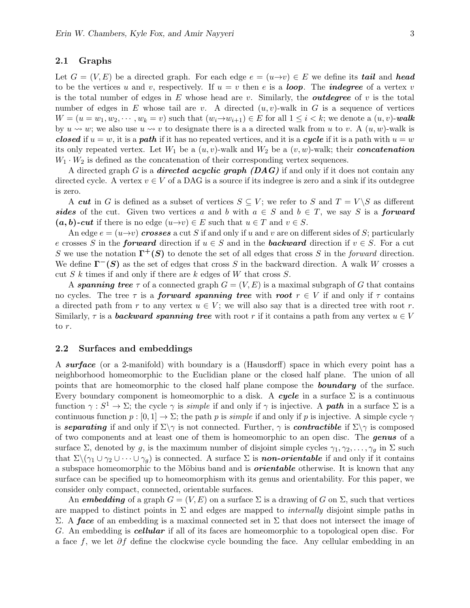#### 2.1 Graphs

Let  $G = (V, E)$  be a directed graph. For each edge  $e = (u \rightarrow v) \in E$  we define its **tail** and **head** to be the vertices u and v, respectively. If  $u = v$  then e is a **loop**. The **indegree** of a vertex v is the total number of edges in  $E$  whose head are v. Similarly, the *outdegree* of v is the total number of edges in E whose tail are v. A directed  $(u, v)$ -walk in G is a sequence of vertices  $W = (u = w_1, w_2, \dots, w_k = v)$  such that  $(w_i \rightarrow w_{i+1}) \in E$  for all  $1 \leq i \leq k$ ; we denote a  $(u, v)$ -walk by  $u \rightarrow w$ ; we also use  $u \rightarrow v$  to designate there is a a directed walk from u to v. A  $(u, w)$ -walk is closed if  $u = w$ , it is a **path** if it has no repeated vertices, and it is a cycle if it is a path with  $u = w$ its only repeated vertex. Let  $W_1$  be a  $(u, v)$ -walk and  $W_2$  be a  $(v, w)$ -walk; their **concatenation**  $W_1 \cdot W_2$  is defined as the concatenation of their corresponding vertex sequences.

A directed graph G is a **directed acyclic graph (DAG)** if and only if it does not contain any directed cycle. A vertex  $v \in V$  of a DAG is a source if its indegree is zero and a sink if its outdegree is zero.

A cut in G is defined as a subset of vertices  $S \subseteq V$ ; we refer to S and  $T = V \backslash S$  as different sides of the cut. Given two vertices a and b with  $a \in S$  and  $b \in T$ , we say S is a forward  $(a, b)$ -cut if there is no edge  $(u \rightarrow v) \in E$  such that  $u \in T$  and  $v \in S$ .

An edge  $e = (u \rightarrow v)$  crosses a cut S if and only if u and v are on different sides of S; particularly e crosses S in the **forward** direction if  $u \in S$  and in the **backward** direction if  $v \in S$ . For a cut S we use the notation  $\Gamma^+(S)$  to denote the set of all edges that cross S in the forward direction. We define  $\Gamma^{-}(S)$  as the set of edges that cross S in the backward direction. A walk W crosses a cut  $S$  k times if and only if there are  $k$  edges of  $W$  that cross  $S$ .

A spanning tree  $\tau$  of a connected graph  $G = (V, E)$  is a maximal subgraph of G that contains no cycles. The tree  $\tau$  is a **forward spanning tree** with **root**  $r \in V$  if and only if  $\tau$  contains a directed path from r to any vertex  $u \in V$ ; we will also say that is a directed tree with root r. Similarly,  $\tau$  is a **backward spanning tree** with root r if it contains a path from any vertex  $u \in V$ to r.

#### 2.2 Surfaces and embeddings

A surface (or a 2-manifold) with boundary is a (Hausdorff) space in which every point has a neighborhood homeomorphic to the Euclidian plane or the closed half plane. The union of all points that are homeomorphic to the closed half plane compose the **boundary** of the surface. Every boundary component is homeomorphic to a disk. A cycle in a surface  $\Sigma$  is a continuous function  $\gamma : S^1 \to \Sigma$ ; the cycle  $\gamma$  is *simple* if and only if  $\gamma$  is injective. A **path** in a surface  $\Sigma$  is a continuous function  $p : [0, 1] \to \Sigma$ ; the path p is simple if and only if p is injective. A simple cycle  $\gamma$ is separating if and only if  $\Sigma\gamma$  is not connected. Further,  $\gamma$  is contractible if  $\Sigma\gamma$  is composed of two components and at least one of them is homeomorphic to an open disc. The genus of a surface  $\Sigma$ , denoted by g, is the maximum number of disjoint simple cycles  $\gamma_1, \gamma_2, \ldots, \gamma_q$  in  $\Sigma$  such that  $\Sigma\setminus(\gamma_1\cup\gamma_2\cup\cdots\cup\gamma_q)$  is connected. A surface  $\Sigma$  is **non-orientable** if and only if it contains a subspace homeomorphic to the Möbius band and is *orientable* otherwise. It is known that any surface can be specified up to homeomorphism with its genus and orientability. For this paper, we consider only compact, connected, orientable surfaces.

An embedding of a graph  $G = (V, E)$  on a surface  $\Sigma$  is a drawing of G on  $\Sigma$ , such that vertices are mapped to distinct points in  $\Sigma$  and edges are mapped to *internally* disjoint simple paths in Σ. A face of an embedding is a maximal connected set in Σ that does not intersect the image of G. An embedding is **cellular** if all of its faces are homeomorphic to a topological open disc. For a face f, we let ∂f define the clockwise cycle bounding the face. Any cellular embedding in an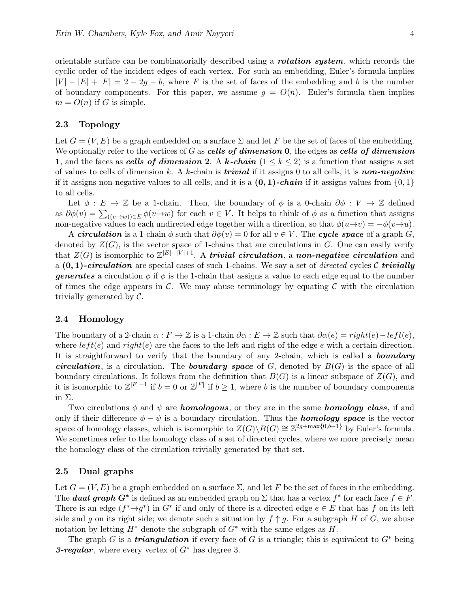orientable surface can be combinatorially described using a **rotation system**, which records the cyclic order of the incident edges of each vertex. For such an embedding, Euler's formula implies  $|V| - |E| + |F| = 2 - 2g - b$ , where F is the set of faces of the embedding and b is the number of boundary components. For this paper, we assume  $g = O(n)$ . Euler's formula then implies  $m = O(n)$  if G is simple.

#### 2.3 Topology

Let  $G = (V, E)$  be a graph embedded on a surface  $\Sigma$  and let F be the set of faces of the embedding. We optionally refer to the vertices of G as cells of dimension  $\mathbf{0}$ , the edges as cells of dimension 1, and the faces as cells of dimension 2. A k-chain  $(1 \leq k \leq 2)$  is a function that assigns a set of values to cells of dimension k. A k-chain is **trivial** if it assigns 0 to all cells, it is **non-negative** if it assigns non-negative values to all cells, and it is a  $(0, 1)$ -chain if it assigns values from  $\{0, 1\}$ to all cells.

Let  $\phi : E \to \mathbb{Z}$  be a 1-chain. Then, the boundary of  $\phi$  is a 0-chain  $\partial \phi : V \to \mathbb{Z}$  defined as  $\partial \phi(v) = \sum_{((v \to w)) \in E} \phi(v \to w)$  for each  $v \in V$ . It helps to think of  $\phi$  as a function that assigns non-negative values to each undirected edge together with a direction, so that  $\phi(u\rightarrow v) = -\phi(v\rightarrow u)$ .

A circulation is a 1-chain  $\phi$  such that  $\partial \phi(v) = 0$  for all  $v \in V$ . The cycle space of a graph G, denoted by  $Z(G)$ , is the vector space of 1-chains that are circulations in G. One can easily verify that  $Z(G)$  is isomorphic to  $\mathbb{Z}^{|E|-|V|+1}$ . A trivial circulation, a non-negative circulation and a  $(0, 1)$ -circulation are special cases of such 1-chains. We say a set of directed cycles C trivially **generates** a circulation  $\phi$  if  $\phi$  is the 1-chain that assigns a value to each edge equal to the number of times the edge appears in  $\mathcal C$ . We may abuse terminology by equating  $\mathcal C$  with the circulation trivially generated by C.

#### 2.4 Homology

The boundary of a 2-chain  $\alpha : F \to \mathbb{Z}$  is a 1-chain  $\partial \alpha : E \to \mathbb{Z}$  such that  $\partial \alpha(e) = right(e) - left(e)$ , where  $left(e)$  and  $right(e)$  are the faces to the left and right of the edge e with a certain direction. It is straightforward to verify that the boundary of any 2-chain, which is called a **boundary** circulation, is a circulation. The **boundary space** of  $G$ , denoted by  $B(G)$  is the space of all boundary circulations. It follows from the definition that  $B(G)$  is a linear subspace of  $Z(G)$ , and it is isomorphic to  $\mathbb{Z}^{|F|-1}$  if  $b=0$  or  $\mathbb{Z}^{|F|}$  if  $b\geq 1$ , where b is the number of boundary components in Σ.

Two circulations  $\phi$  and  $\psi$  are **homologous**, or they are in the same **homology class**, if and only if their difference  $\phi - \psi$  is a boundary circulation. Thus the **homology space** is the vector space of homology classes, which is isomorphic to  $Z(G) \backslash B(G) \cong \mathbb{Z}^{2g+\max\{0,b-1\}}$  by Euler's formula. We sometimes refer to the homology class of a set of directed cycles, where we more precisely mean the homology class of the circulation trivially generated by that set.

#### 2.5 Dual graphs

Let  $G = (V, E)$  be a graph embedded on a surface  $\Sigma$ , and let F be the set of faces in the embedding. The **dual graph G<sup>\*</sup>** is defined as an embedded graph on  $\Sigma$  that has a vertex  $f^*$  for each face  $f \in F$ . There is an edge  $(f^* \rightarrow g^*)$  in  $G^*$  if and only of there is a directed edge  $e \in E$  that has f on its left side and g on its right side; we denote such a situation by  $f \uparrow g$ . For a subgraph H of G, we abuse notation by letting  $H^*$  denote the subgraph of  $G^*$  with the same edges as  $H$ .

The graph G is a **triangulation** if every face of G is a triangle; this is equivalent to  $G^*$  being 3-regular, where every vertex of  $G^*$  has degree 3.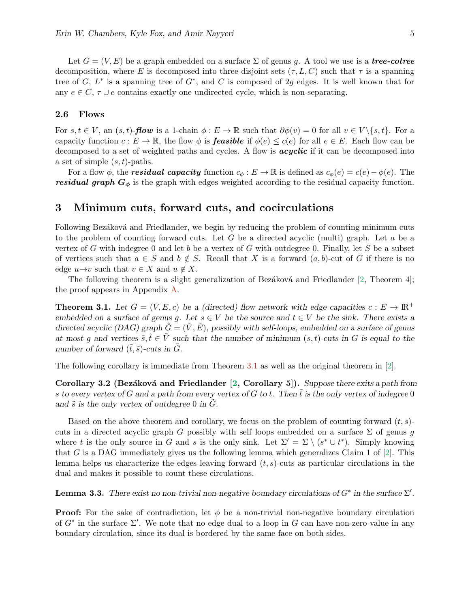Let  $G = (V, E)$  be a graph embedded on a surface  $\Sigma$  of genus g. A tool we use is a tree-cotree decomposition, where E is decomposed into three disjoint sets  $(\tau, L, C)$  such that  $\tau$  is a spanning tree of  $G, L^*$  is a spanning tree of  $G^*$ , and C is composed of 2g edges. It is well known that for any  $e \in C$ ,  $\tau \cup e$  contains exactly one undirected cycle, which is non-separating.

#### 2.6 Flows

For  $s, t \in V$ , an  $(s, t)$ -flow is a 1-chain  $\phi : E \to \mathbb{R}$  such that  $\partial \phi(v) = 0$  for all  $v \in V \setminus \{s, t\}$ . For a capacity function  $c: E \to \mathbb{R}$ , the flow  $\phi$  is **feasible** if  $\phi(e) \leq c(e)$  for all  $e \in E$ . Each flow can be decomposed to a set of weighted paths and cycles. A flow is **acyclic** if it can be decomposed into a set of simple  $(s, t)$ -paths.

For a flow  $\phi$ , the **residual capacity** function  $c_{\phi}: E \to \mathbb{R}$  is defined as  $c_{\phi}(e) = c(e) - \phi(e)$ . The residual graph  $G_{\phi}$  is the graph with edges weighted according to the residual capacity function.

## <span id="page-5-0"></span>3 Minimum cuts, forward cuts, and cocirculations

Following Bezáková and Friedlander, we begin by reducing the problem of counting minimum cuts to the problem of counting forward cuts. Let G be a directed acyclic (multi) graph. Let  $a$  be a vertex of G with indegree 0 and let b be a vertex of G with outdegree 0. Finally, let S be a subset of vertices such that  $a \in S$  and  $b \notin S$ . Recall that X is a forward  $(a, b)$ -cut of G if there is no edge  $u \rightarrow v$  such that  $v \in X$  and  $u \notin X$ .

<span id="page-5-1"></span>The following theorem is a slight generalization of Bezáková and Friedlander [\[2,](#page-11-0) Theorem 4]; the proof appears in Appendix [A.](#page-14-10)

**Theorem 3.1.** Let  $G = (V, E, c)$  be a (directed) flow network with edge capacities  $c : E \to \mathbb{R}^+$ embedded on a surface of genus g. Let  $s \in V$  be the source and  $t \in V$  be the sink. There exists a directed acyclic (DAG) graph  $\tilde{G} = (\tilde{V}, \tilde{E})$ , possibly with self-loops, embedded on a surface of genus at most g and vertices  $\tilde{s}, \tilde{t} \in \tilde{V}$  such that the number of minimum  $(s, t)$ -cuts in G is equal to the number of forward  $(\tilde{t}, \tilde{s})$ -cuts in  $\tilde{G}$ .

<span id="page-5-2"></span>The following corollary is immediate from Theorem [3.1](#page-5-1) as well as the original theorem in [\[2\]](#page-11-0).

Corollary 3.2 (Bezáková and Friedlander  $[2,$  Corollary 5]). Suppose there exits a path from s to every vertex of G and a path from every vertex of G to t. Then  $\tilde{t}$  is the only vertex of indegree 0 and  $\tilde{s}$  is the only vertex of outdegree 0 in  $\tilde{G}$ .

Based on the above theorem and corollary, we focus on the problem of counting forward  $(t, s)$ cuts in a directed acyclic graph G possibly with self loops embedded on a surface  $\Sigma$  of genus g where t is the only source in G and s is the only sink. Let  $\Sigma' = \Sigma \setminus (s^* \cup t^*)$ . Simply knowing that G is a DAG immediately gives us the following lemma which generalizes Claim 1 of  $[2]$ . This lemma helps us characterize the edges leaving forward  $(t, s)$ -cuts as particular circulations in the dual and makes it possible to count these circulations.

<span id="page-5-3"></span>**Lemma 3.3.** There exist no non-trivial non-negative boundary circulations of  $G^*$  in the surface  $\Sigma'$ .

**Proof:** For the sake of contradiction, let  $\phi$  be a non-trivial non-negative boundary circulation of  $G^*$  in the surface  $\Sigma'$ . We note that no edge dual to a loop in G can have non-zero value in any boundary circulation, since its dual is bordered by the same face on both sides.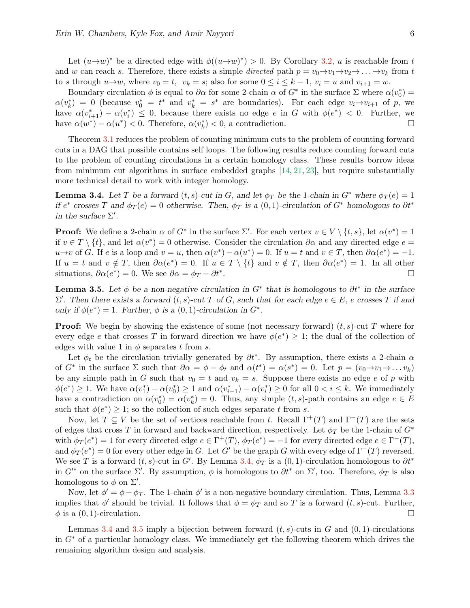Let  $(u\rightarrow w)^*$  be a directed edge with  $\phi((u\rightarrow w)^*) > 0$ . By Corollary [3.2,](#page-5-2) u is reachable from t and w can reach s. Therefore, there exists a simple directed path  $p = v_0 \rightarrow v_1 \rightarrow v_2 \rightarrow \dots \rightarrow v_k$  from t to s through  $u\rightarrow w$ , where  $v_0 = t$ ,  $v_k = s$ ; also for some  $0 \le i \le k-1$ ,  $v_i = u$  and  $v_{i+1} = w$ .

Boundary circulation  $\phi$  is equal to  $\partial\alpha$  for some 2-chain  $\alpha$  of  $G^*$  in the surface  $\Sigma$  where  $\alpha(v_0^*)$  =  $\alpha(v_k^*) = 0$  (because  $v_0^* = t^*$  and  $v_k^* = s^*$  are boundaries). For each edge  $v_i \rightarrow v_{i+1}$  of p, we have  $\alpha(v_{i+1}^*) - \alpha(v_i^*) \leq 0$ , because there exists no edge e in G with  $\phi(e^*) < 0$ . Further, we have  $\alpha(w^*) - \alpha(u^*) < 0$ . Therefore,  $\alpha(v_k^*) < 0$ , a contradiction.

Theorem [3.1](#page-5-1) reduces the problem of counting minimum cuts to the problem of counting forward cuts in a DAG that possible contains self loops. The following results reduce counting forward cuts to the problem of counting circulations in a certain homology class. These results borrow ideas from minimum cut algorithms in surface embedded graphs [\[14,](#page-11-9) [21,](#page-12-10) [23\]](#page-12-11), but require substantially more technical detail to work with integer homology.

<span id="page-6-0"></span>**Lemma 3.4.** Let T be a forward  $(t, s)$ -cut in G, and let  $\phi_T$  be the 1-chain in G<sup>\*</sup> where  $\phi_T(e) = 1$ if  $e^*$  crosses T and  $\phi_T(e) = 0$  otherwise. Then,  $\phi_T$  is a  $(0, 1)$ -circulation of  $G^*$  homologous to  $\partial t^*$ in the surface  $\Sigma'$ .

**Proof:** We define a 2-chain  $\alpha$  of  $G^*$  in the surface  $\Sigma'$ . For each vertex  $v \in V \setminus \{t, s\}$ , let  $\alpha(v^*) = 1$ if  $v \in T \setminus \{t\}$ , and let  $\alpha(v^*) = 0$  otherwise. Consider the circulation  $\partial \alpha$  and any directed edge  $e =$  $u \to v$  of G. If e is a loop and  $v = u$ , then  $\alpha(v^*) - \alpha(u^*) = 0$ . If  $u = t$  and  $v \in T$ , then  $\partial \alpha(e^*) = -1$ . If  $u = t$  and  $v \notin T$ , then  $\partial \alpha(e^*) = 0$ . If  $u \in T \setminus \{t\}$  and  $v \notin T$ , then  $\partial \alpha(e^*) = 1$ . In all other situations,  $\partial \alpha(e^*) = 0$ . We see  $\partial \alpha = \phi_T - \partial t^*$ . В последните последните последните последните последните последните последните последните последните последн<br>В 1990 година от 1990 година от 1990 година от 1990 година от 1990 година от 1990 година от 1990 година от 199

<span id="page-6-1"></span>**Lemma 3.5.** Let  $\phi$  be a non-negative circulation in G<sup>\*</sup> that is homologous to  $\partial t^*$  in the surface  $\Sigma'$ . Then there exists a forward  $(t, s)$ -cut T of G, such that for each edge  $e \in E$ , e crosses T if and only if  $\phi(e^*) = 1$ . Further,  $\phi$  is a  $(0, 1)$ -circulation in  $G^*$ .

**Proof:** We begin by showing the existence of some (not necessary forward)  $(t, s)$ -cut T where for every edge e that crosses T in forward direction we have  $\phi(e^*) \geq 1$ ; the dual of the collection of edges with value 1 in  $\phi$  separates t from s.

Let  $\phi_t$  be the circulation trivially generated by  $\partial t^*$ . By assumption, there exists a 2-chain  $\alpha$ of  $G^*$  in the surface  $\Sigma$  such that  $\partial \alpha = \phi - \phi_t$  and  $\alpha(t^*) = \alpha(s^*) = 0$ . Let  $p = (v_0 \rightarrow v_1 \rightarrow \dots v_k)$ be any simple path in G such that  $v_0 = t$  and  $v_k = s$ . Suppose there exists no edge e of p with  $\phi(e^*) \geq 1$ . We have  $\alpha(v_1^*) - \alpha(v_0^*) \geq 1$  and  $\alpha(v_{i+1}^*) - \alpha(v_i^*) \geq 0$  for all  $0 < i \leq k$ . We immediately have a contradiction on  $\alpha(v_0^*) = \alpha(v_k^*) = 0$ . Thus, any simple  $(t, s)$ -path contains an edge  $e \in E$ such that  $\phi(e^*) \geq 1$ ; so the collection of such edges separate t from s.

Now, let  $T \subsetneq V$  be the set of vertices reachable from t. Recall  $\Gamma^+(T)$  and  $\Gamma^-(T)$  are the sets of edges that cross T in forward and backward direction, respectively. Let  $\phi_T$  be the 1-chain of  $G^*$ with  $\phi_T(e^*) = 1$  for every directed edge  $e \in \Gamma^+(T)$ ,  $\phi_T(e^*) = -1$  for every directed edge  $e \in \Gamma^-(T)$ , and  $\phi_T(e^*) = 0$  for every other edge in G. Let G' be the graph G with every edge of  $\Gamma^-(T)$  reversed. We see T is a forward  $(t, s)$ -cut in G'. By Lemma [3.4,](#page-6-0)  $\phi_T$  is a  $(0, 1)$ -circulation homologous to  $\partial t^*$ in  $G'^*$  on the surface  $\Sigma'$ . By assumption,  $\phi$  is homologous to  $\partial t^*$  on  $\Sigma'$ , too. Therefore,  $\phi_T$  is also homologous to  $\phi$  on  $\Sigma'$ .

Now, let  $\phi' = \phi - \phi_T$ . The 1-chain  $\phi'$  is a non-negative boundary circulation. Thus, Lemma [3.3](#page-5-3) implies that  $\phi'$  should be trivial. It follows that  $\phi = \phi_T$  and so T is a forward  $(t, s)$ -cut. Further,  $\phi$  is a  $(0, 1)$ -circulation.

<span id="page-6-2"></span>Lemmas [3.4](#page-6-0) and [3.5](#page-6-1) imply a bijection between forward  $(t, s)$ -cuts in G and  $(0, 1)$ -circulations in  $G^*$  of a particular homology class. We immediately get the following theorem which drives the remaining algorithm design and analysis.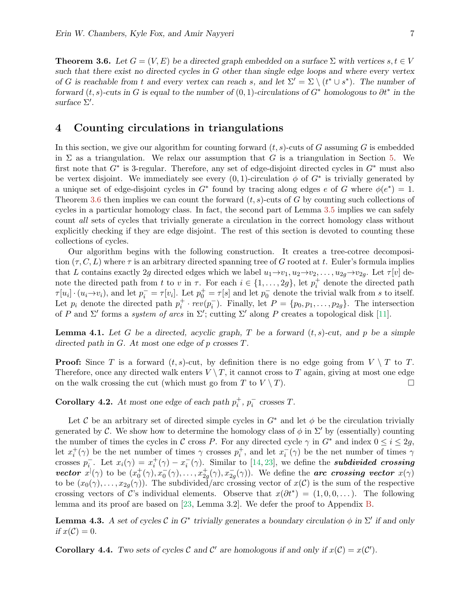**Theorem 3.6.** Let  $G = (V, E)$  be a directed graph embedded on a surface  $\Sigma$  with vertices  $s, t \in V$ such that there exist no directed cycles in G other than single edge loops and where every vertex of G is reachable from t and every vertex can reach s, and let  $\Sigma' = \Sigma \setminus (t^* \cup s^*)$ . The number of forward  $(t, s)$ -cuts in G is equal to the number of  $(0, 1)$ -circulations of  $G^*$  homologous to  $\partial t^*$  in the surface  $\Sigma'$ .

## <span id="page-7-0"></span>4 Counting circulations in triangulations

In this section, we give our algorithm for counting forward  $(t, s)$ -cuts of G assuming G is embedded in  $\Sigma$  as a triangulation. We relax our assumption that G is a triangulation in Section [5.](#page-9-0) We first note that  $G^*$  is 3-regular. Therefore, any set of edge-disjoint directed cycles in  $G^*$  must also be vertex disjoint. We immediately see every  $(0, 1)$ -circulation  $\phi$  of  $G^*$  is trivially generated by a unique set of edge-disjoint cycles in  $G^*$  found by tracing along edges e of G where  $\phi(e^*) = 1$ . Theorem [3.6](#page-6-2) then implies we can count the forward  $(t, s)$ -cuts of G by counting such collections of cycles in a particular homology class. In fact, the second part of Lemma [3.5](#page-6-1) implies we can safely count all sets of cycles that trivially generate a circulation in the correct homology class without explicitly checking if they are edge disjoint. The rest of this section is devoted to counting these collections of cycles.

Our algorithm begins with the following construction. It creates a tree-cotree decomposition  $(\tau, C, L)$  where  $\tau$  is an arbitrary directed spanning tree of G rooted at t. Euler's formula implies that L contains exactly 2g directed edges which we label  $u_1\rightarrow v_1, u_2\rightarrow v_2, \ldots, u_{2q}\rightarrow v_{2q}$ . Let  $\tau[v]$  denote the directed path from t to v in  $\tau$ . For each  $i \in \{1, \ldots, 2g\}$ , let  $p_i^+$  denote the directed path  $\tau[u_i] \cdot (u_i \to v_i)$ , and let  $p_i^- = \tau[v_i]$ . Let  $p_0^+ = \tau[s]$  and let  $p_0^-$  denote the trivial walk from s to itself. Let  $p_i$  denote the directed path  $p_i^+ \cdot rev(p_i^-)$ . Finally, let  $P = \{p_0, p_1, \ldots, p_{2g}\}$ . The intersection of P and  $\Sigma'$  forms a *system of arcs* in  $\Sigma'$ ; cutting  $\Sigma'$  along P creates a topological disk [\[11\]](#page-11-11).

**Lemma 4.1.** Let G be a directed, acyclic graph, T be a forward  $(t, s)$ -cut, and p be a simple directed path in G. At most one edge of p crosses T.

**Proof:** Since T is a forward  $(t, s)$ -cut, by definition there is no edge going from  $V \setminus T$  to T. Therefore, once any directed walk enters  $V \setminus T$ , it cannot cross to T again, giving at most one edge on the walk crossing the cut (which must go from T to  $V \setminus T$ ).

<span id="page-7-1"></span>**Corollary 4.2.** At most one edge of each path  $p_i^+$ ,  $p_i^-$  crosses T.

Let C be an arbitrary set of directed simple cycles in  $G^*$  and let  $\phi$  be the circulation trivially generated by C. We show how to determine the homology class of  $\phi$  in  $\Sigma'$  by (essentially) counting the number of times the cycles in C cross P. For any directed cycle  $\gamma$  in  $G^*$  and index  $0 \le i \le 2g$ , let  $x_i^+(\gamma)$  be the net number of times  $\gamma$  crosses  $p_i^+$ , and let  $x_i^-(\gamma)$  be the net number of times  $\gamma$ crosses  $p_i^-$ . Let  $x_i(\gamma) = x_i^+(\gamma) - x_i^-(\gamma)$ . Similar to [\[14,](#page-11-9) [23\]](#page-12-11), we define the **subdivided crossing** vector  $x^{\dagger}(\gamma)$  to be  $(x_0^+(\gamma), x_0^-(\gamma), \ldots, x_{2g}^+(\gamma), x_{2g}^-(\gamma))$ . We define the arc crossing vector  $x(\gamma)$ to be  $(x_0(\gamma), \ldots, x_{2g}(\gamma))$ . The subdivided/arc crossing vector of  $x(\mathcal{C})$  is the sum of the respective crossing vectors of C's individual elements. Observe that  $x(\partial t^*) = (1, 0, 0, \dots)$ . The following lemma and its proof are based on [\[23,](#page-12-11) Lemma 3.2]. We defer the proof to Appendix [B.](#page-15-0)

<span id="page-7-3"></span>**Lemma 4.3.** A set of cycles  $\mathcal C$  in  $G^*$  trivially generates a boundary circulation  $\phi$  in  $\Sigma'$  if and only if  $x(\mathcal{C})=0$ .

<span id="page-7-2"></span>**Corollary 4.4.** Two sets of cycles C and C' are homologous if and only if  $x(C) = x(C')$ .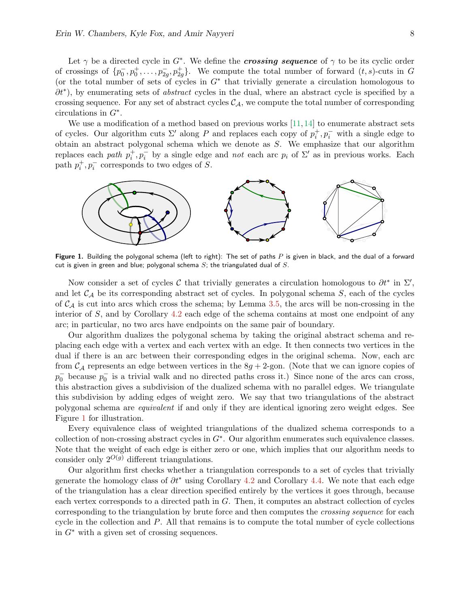Let  $\gamma$  be a directed cycle in  $G^*$ . We define the *crossing sequence* of  $\gamma$  to be its cyclic order of crossings of  $\{p_0^-, p_0^+, \ldots, p_{2g}^-, p_{2g}^+\}$ . We compute the total number of forward  $(t, s)$ -cuts in G (or the total number of sets of cycles in  $G^*$  that trivially generate a circulation homologous to  $\partial t^*$ ), by enumerating sets of *abstract* cycles in the dual, where an abstract cycle is specified by a crossing sequence. For any set of abstract cycles  $C_A$ , we compute the total number of corresponding circulations in  $G^*$ .

We use a modification of a method based on previous works  $[11,14]$  $[11,14]$  to enumerate abstract sets of cycles. Our algorithm cuts  $\Sigma'$  along P and replaces each copy of  $p_i^+, p_i^-$  with a single edge to obtain an abstract polygonal schema which we denote as S. We emphasize that our algorithm replaces each path  $p_i^+, p_i^-$  by a single edge and not each arc  $p_i$  of  $\Sigma'$  as in previous works. Each path  $p_i^+, p_i^-$  corresponds to two edges of S.



<span id="page-8-0"></span>Figure 1. Building the polygonal schema (left to right): The set of paths  $P$  is given in black, and the dual of a forward cut is given in green and blue; polygonal schema  $S$ ; the triangulated dual of  $S$ .

Now consider a set of cycles C that trivially generates a circulation homologous to  $\partial t^*$  in  $\Sigma'$ , and let  $C_A$  be its corresponding abstract set of cycles. In polygonal schema  $S$ , each of the cycles of  $C_A$  is cut into arcs which cross the schema; by Lemma [3.5,](#page-6-1) the arcs will be non-crossing in the interior of  $S$ , and by Corollary  $4.2$  each edge of the schema contains at most one endpoint of any arc; in particular, no two arcs have endpoints on the same pair of boundary.

Our algorithm dualizes the polygonal schema by taking the original abstract schema and replacing each edge with a vertex and each vertex with an edge. It then connects two vertices in the dual if there is an arc between their corresponding edges in the original schema. Now, each arc from  $\mathcal{C}_{\mathcal{A}}$  represents an edge between vertices in the  $8g + 2$ -gon. (Note that we can ignore copies of  $p_0^-$  because  $p_0^-$  is a trivial walk and no directed paths cross it.) Since none of the arcs can cross, this abstraction gives a subdivision of the dualized schema with no parallel edges. We triangulate this subdivision by adding edges of weight zero. We say that two triangulations of the abstract polygonal schema are equivalent if and only if they are identical ignoring zero weight edges. See Figure [1](#page-8-0) for illustration.

Every equivalence class of weighted triangulations of the dualized schema corresponds to a collection of non-crossing abstract cycles in  $G^*$ . Our algorithm enumerates such equivalence classes. Note that the weight of each edge is either zero or one, which implies that our algorithm needs to consider only  $2^{O(g)}$  different triangulations.

Our algorithm first checks whether a triangulation corresponds to a set of cycles that trivially generate the homology class of  $\partial t^*$  using Corollary [4.2](#page-7-1) and Corollary [4.4.](#page-7-2) We note that each edge of the triangulation has a clear direction specified entirely by the vertices it goes through, because each vertex corresponds to a directed path in G. Then, it computes an abstract collection of cycles corresponding to the triangulation by brute force and then computes the crossing sequence for each cycle in the collection and P. All that remains is to compute the total number of cycle collections in  $G^*$  with a given set of crossing sequences.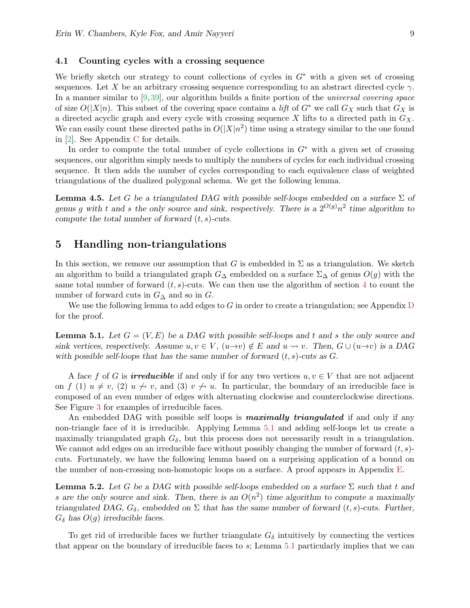#### 4.1 Counting cycles with a crossing sequence

We briefly sketch our strategy to count collections of cycles in  $G^*$  with a given set of crossing sequences. Let X be an arbitrary crossing sequence corresponding to an abstract directed cycle  $\gamma$ . In a manner similar to [\[9,](#page-11-12)[39\]](#page-13-15), our algorithm builds a finite portion of the *universal covering space* of size  $O(|X|n)$ . This subset of the covering space contains a lift of  $G^*$  we call  $G_X$  such that  $G_X$  is a directed acyclic graph and every cycle with crossing sequence X lifts to a directed path in  $G_X$ . We can easily count these directed paths in  $O(|X|n^2)$  time using a strategy similar to the one found in [\[2\]](#page-11-0). See Appendix [C](#page-16-0) for details.

In order to compute the total number of cycle collections in  $G^*$  with a given set of crossing sequences, our algorithm simply needs to multiply the numbers of cycles for each individual crossing sequence. It then adds the number of cycles corresponding to each equivalence class of weighted triangulations of the dualized polygonal schema. We get the following lemma.

**Lemma 4.5.** Let G be a triangulated DAG with possible self-loops embedded on a surface  $\Sigma$  of genus g with t and s the only source and sink, respectively. There is a  $2^{O(g)}n^2$  time algorithm to compute the total number of forward  $(t, s)$ -cuts.

## <span id="page-9-0"></span>5 Handling non-triangulations

In this section, we remove our assumption that G is embedded in  $\Sigma$  as a triangulation. We sketch an algorithm to build a triangulated graph  $G_{\Delta}$  embedded on a surface  $\Sigma_{\Delta}$  of genus  $O(g)$  with the same total number of forward  $(t, s)$ -cuts. We can then use the algorithm of section [4](#page-7-0) to count the number of forward cuts in  $G_{\Delta}$  and so in  $G$ .

We use the following lemma to add edges to G in order to create a triangulation; see Appendix  $D$ for the proof.

<span id="page-9-1"></span>**Lemma 5.1.** Let  $G = (V, E)$  be a DAG with possible self-loops and t and s the only source and sink vertices, respectively. Assume  $u, v \in V$ ,  $(u \rightarrow v) \notin E$  and  $u \rightsquigarrow v$ . Then,  $G \cup (u \rightarrow v)$  is a DAG with possible self-loops that has the same number of forward  $(t, s)$ -cuts as  $G$ .

A face f of G is **irreducible** if and only if for any two vertices  $u, v \in V$  that are not adjacent on f (1)  $u \neq v$ , (2)  $u \nrightarrow v$ , and (3)  $v \nrightarrow u$ . In particular, the boundary of an irreducible face is composed of an even number of edges with alternating clockwise and counterclockwise directions. See Figure [3](#page-17-1) for examples of irreducible faces.

An embedded DAG with possible self loops is **maximally triangulated** if and only if any non-triangle face of it is irreducible. Applying Lemma [5.1](#page-9-1) and adding self-loops let us create a maximally triangulated graph  $G_{\delta}$ , but this process does not necessarily result in a triangulation. We cannot add edges on an irreducible face without possibly changing the number of forward  $(t, s)$ cuts. Fortunately, we have the following lemma based on a surprising application of a bound on the number of non-crossing non-homotopic loops on a surface. A proof appears in Appendix [E.](#page-17-2)

<span id="page-9-2"></span>**Lemma 5.2.** Let G be a DAG with possible self-loops embedded on a surface  $\Sigma$  such that t and s are the only source and sink. Then, there is an  $O(n^2)$  time algorithm to compute a maximally triangulated DAG,  $G_{\delta}$ , embedded on  $\Sigma$  that has the same number of forward  $(t, s)$ -cuts. Further,  $G_{\delta}$  has  $O(g)$  irreducible faces.

To get rid of irreducible faces we further triangulate  $G_{\delta}$  intuitively by connecting the vertices that appear on the boundary of irreducible faces to s; Lemma [5.1](#page-9-1) particularly implies that we can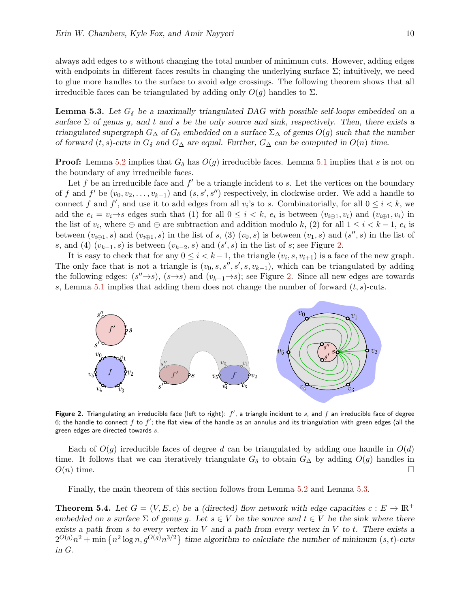always add edges to s without changing the total number of minimum cuts. However, adding edges with endpoints in different faces results in changing the underlying surface  $\Sigma$ ; intuitively, we need to glue more handles to the surface to avoid edge crossings. The following theorem shows that all irreducible faces can be triangulated by adding only  $O(g)$  handles to  $\Sigma$ .

<span id="page-10-1"></span>**Lemma 5.3.** Let  $G_{\delta}$  be a maximally triangulated DAG with possible self-loops embedded on a surface  $\Sigma$  of genus g, and t and s be the only source and sink, respectively. Then, there exists a triangulated supergraph  $G_{\Delta}$  of  $G_{\delta}$  embedded on a surface  $\Sigma_{\Delta}$  of genus  $O(g)$  such that the number of forward  $(t, s)$ -cuts in  $G_{\delta}$  and  $G_{\Delta}$  are equal. Further,  $G_{\Delta}$  can be computed in  $O(n)$  time.

**Proof:** Lemma [5.2](#page-9-2) implies that  $G_{\delta}$  has  $O(g)$  irreducible faces. Lemma [5.1](#page-9-1) implies that s is not on the boundary of any irreducible faces.

Let f be an irreducible face and  $f'$  be a triangle incident to s. Let the vertices on the boundary of f and f' be  $(v_0, v_2, \ldots, v_{k-1})$  and  $(s, s', s'')$  respectively, in clockwise order. We add a handle to connect f and f', and use it to add edges from all  $v_i$ 's to s. Combinatorially, for all  $0 \le i \le k$ , we add the  $e_i = v_i \rightarrow s$  edges such that (1) for all  $0 \leq i \leq k$ ,  $e_i$  is between  $(v_{i\ominus 1}, v_i)$  and  $(v_{i\oplus 1}, v_i)$  in the list of  $v_i$ , where  $\ominus$  and  $\oplus$  are subtraction and addition modulo k, (2) for all  $1 \leq i \leq k-1$ ,  $e_i$  is between  $(v_{i\ominus 1}, s)$  and  $(v_{i\oplus 1}, s)$  in the list of s, (3)  $(v_0, s)$  is between  $(v_1, s)$  and  $(s'', s)$  in the list of s, and (4)  $(v_{k-1}, s)$  is between  $(v_{k-2}, s)$  and  $(s', s)$  in the list of s; see Figure [2.](#page-10-0)

It is easy to check that for any  $0 \leq i < k-1$ , the triangle  $(v_i, s, v_{i+1})$  is a face of the new graph. The only face that is not a triangle is  $(v_0, s, s'', s', s, v_{k-1})$ , which can be triangulated by adding the following edges:  $(s''\rightarrow s)$ ,  $(s\rightarrow s)$  and  $(v_{k-1}\rightarrow s)$ ; see Figure [2.](#page-10-0) Since all new edges are towards s, Lemma [5.1](#page-9-1) implies that adding them does not change the number of forward  $(t, s)$ -cuts.



<span id="page-10-0"></span>Figure 2. Triangulating an irreducible face (left to right):  $f'$ , a triangle incident to  $s$ , and  $f$  an irreducible face of degree 6; the handle to connect  $f$  to  $f'$ ; the flat view of the handle as an annulus and its triangulation with green edges (all the green edges are directed towards s.

Each of  $O(q)$  irreducible faces of degree d can be triangulated by adding one handle in  $O(d)$ time. It follows that we can iteratively triangulate  $G_{\delta}$  to obtain  $G_{\Delta}$  by adding  $O(g)$  handles in  $O(n)$  time.

Finally, the main theorem of this section follows from Lemma [5.2](#page-9-2) and Lemma [5.3.](#page-10-1)

**Theorem 5.4.** Let  $G = (V, E, c)$  be a (directed) flow network with edge capacities  $c : E \to \mathbb{R}^+$ embedded on a surface  $\Sigma$  of genus g. Let  $s \in V$  be the source and  $t \in V$  be the sink where there exists a path from s to every vertex in  $V$  and a path from every vertex in  $V$  to  $t$ . There exists a  $2^{O(g)}n^2 + \min \{n^2 \log n, g^{O(g)}n^{3/2}\}\$ time algorithm to calculate the number of minimum  $(s, t)$ -cuts in G.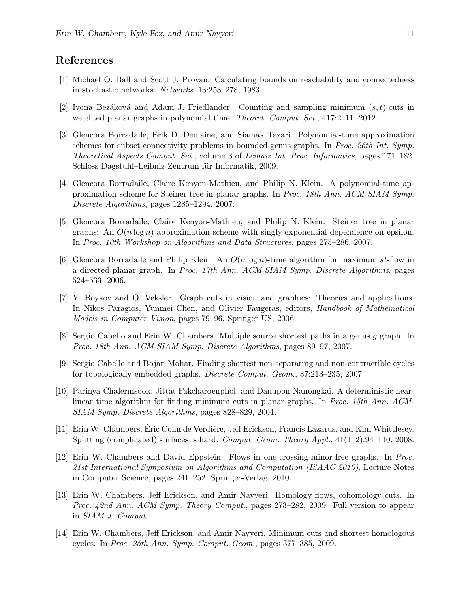## References

- <span id="page-11-1"></span>[1] Michael O. Ball and Scott J. Provan. Calculating bounds on reachability and connectedness in stochastic networks. Networks, 13:253–278, 1983.
- <span id="page-11-0"></span>[2] Ivona Bezáková and Adam J. Friedlander. Counting and sampling minimum  $(s, t)$ -cuts in weighted planar graphs in polynomial time. *Theoret. Comput. Sci.*, 417:2-11, 2012.
- <span id="page-11-5"></span>[3] Glencora Borradaile, Erik D. Demaine, and Siamak Tazari. Polynomial-time approximation schemes for subset-connectivity problems in bounded-genus graphs. In Proc. 26th Int. Symp. Theoretical Aspects Comput. Sci., volume 3 of Leibniz Int. Proc. Informatics, pages 171–182. Schloss Dagstuhl–Leibniz-Zentrum für Informatik, 2009.
- [4] Glencora Borradaile, Claire Kenyon-Mathieu, and Philip N. Klein. A polynomial-time approximation scheme for Steiner tree in planar graphs. In Proc. 18th Ann. ACM-SIAM Symp. Discrete Algorithms, pages 1285–1294, 2007.
- <span id="page-11-6"></span>[5] Glencora Borradaile, Claire Kenyon-Mathieu, and Philip N. Klein. Steiner tree in planar graphs: An  $O(n \log n)$  approximation scheme with singly-exponential dependence on epsilon. In Proc. 10th Workshop on Algorithms and Data Structures, pages 275–286, 2007.
- <span id="page-11-8"></span>[6] Glencora Borradaile and Philip Klein. An  $O(n \log n)$ -time algorithm for maximum st-flow in a directed planar graph. In Proc. 17th Ann. ACM-SIAM Symp. Discrete Algorithms, pages 524–533, 2006.
- <span id="page-11-2"></span>[7] Y. Boykov and O. Veksler. Graph cuts in vision and graphics: Theories and applications. In Nikos Paragios, Yunmei Chen, and Olivier Faugeras, editors, Handbook of Mathematical Models in Computer Vision, pages 79–96. Springer US, 2006.
- <span id="page-11-4"></span>[8] Sergio Cabello and Erin W. Chambers. Multiple source shortest paths in a genus g graph. In Proc. 18th Ann. ACM-SIAM Symp. Discrete Algorithms, pages 89–97, 2007.
- <span id="page-11-12"></span>[9] Sergio Cabello and Bojan Mohar. Finding shortest non-separating and non-contractible cycles for topologically embedded graphs. Discrete Comput. Geom., 37:213–235, 2007.
- <span id="page-11-7"></span>[10] Parinya Chalermsook, Jittat Fakcharoenphol, and Danupon Nanongkai. A deterministic nearlinear time algorithm for finding minimum cuts in planar graphs. In Proc. 15th Ann. ACM-SIAM Symp. Discrete Algorithms, pages 828–829, 2004.
- <span id="page-11-11"></span>[11] Erin W. Chambers, Éric Colin de Verdière, Jeff Erickson, Francis Lazarus, and Kim Whittlesey. Splitting (complicated) surfaces is hard. Comput. Geom. Theory Appl.,  $41(1-2):94-110$ , 2008.
- <span id="page-11-10"></span>[12] Erin W. Chambers and David Eppstein. Flows in one-crossing-minor-free graphs. In Proc. 21st International Symposium on Algorithms and Computation (ISAAC 2010), Lecture Notes in Computer Science, pages 241–252. Springer-Verlag, 2010.
- <span id="page-11-3"></span>[13] Erin W. Chambers, Jeff Erickson, and Amir Nayyeri. Homology flows, cohomology cuts. In Proc. 42nd Ann. ACM Symp. Theory Comput., pages 273–282, 2009. Full version to appear in SIAM J. Comput.
- <span id="page-11-9"></span>[14] Erin W. Chambers, Jeff Erickson, and Amir Nayyeri. Minimum cuts and shortest homologous cycles. In Proc. 25th Ann. Symp. Comput. Geom., pages 377–385, 2009.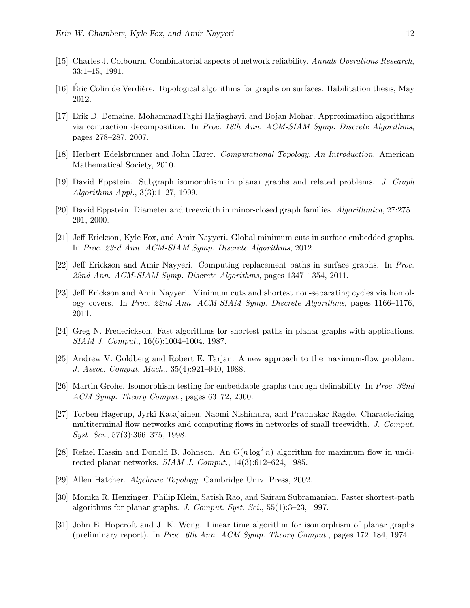- <span id="page-12-0"></span>[15] Charles J. Colbourn. Combinatorial aspects of network reliability. Annals Operations Research, 33:1–15, 1991.
- <span id="page-12-16"></span>[16] Eric Colin de Verdière. Topological algorithms for graphs on surfaces. Habilitation thesis, May 2012.
- <span id="page-12-7"></span>[17] Erik D. Demaine, MohammadTaghi Hajiaghayi, and Bojan Mohar. Approximation algorithms via contraction decomposition. In Proc. 18th Ann. ACM-SIAM Symp. Discrete Algorithms, pages 278–287, 2007.
- <span id="page-12-15"></span>[18] Herbert Edelsbrunner and John Harer. Computational Topology, An Introduction. American Mathematical Society, 2010.
- <span id="page-12-3"></span>[19] David Eppstein. Subgraph isomorphism in planar graphs and related problems. J. Graph Algorithms Appl., 3(3):1–27, 1999.
- <span id="page-12-4"></span>[20] David Eppstein. Diameter and treewidth in minor-closed graph families. Algorithmica, 27:275– 291, 2000.
- <span id="page-12-10"></span>[21] Jeff Erickson, Kyle Fox, and Amir Nayyeri. Global minimum cuts in surface embedded graphs. In Proc. 23rd Ann. ACM-SIAM Symp. Discrete Algorithms, 2012.
- <span id="page-12-2"></span>[22] Jeff Erickson and Amir Nayyeri. Computing replacement paths in surface graphs. In Proc. 22nd Ann. ACM-SIAM Symp. Discrete Algorithms, pages 1347–1354, 2011.
- <span id="page-12-11"></span>[23] Jeff Erickson and Amir Nayyeri. Minimum cuts and shortest non-separating cycles via homology covers. In Proc. 22nd Ann. ACM-SIAM Symp. Discrete Algorithms, pages 1166–1176, 2011.
- <span id="page-12-8"></span>[24] Greg N. Frederickson. Fast algorithms for shortest paths in planar graphs with applications. SIAM J. Comput., 16(6):1004–1004, 1987.
- <span id="page-12-13"></span>[25] Andrew V. Goldberg and Robert E. Tarjan. A new approach to the maximum-flow problem. J. Assoc. Comput. Mach., 35(4):921–940, 1988.
- <span id="page-12-5"></span>[26] Martin Grohe. Isomorphism testing for embeddable graphs through definability. In Proc. 32nd ACM Symp. Theory Comput., pages 63–72, 2000.
- <span id="page-12-12"></span>[27] Torben Hagerup, Jyrki Katajainen, Naomi Nishimura, and Prabhakar Ragde. Characterizing multiterminal flow networks and computing flows in networks of small treewidth. J. Comput. Syst. Sci., 57(3):366–375, 1998.
- <span id="page-12-9"></span>[28] Refael Hassin and Donald B. Johnson. An  $O(n \log^2 n)$  algorithm for maximum flow in undirected planar networks. SIAM J. Comput., 14(3):612–624, 1985.
- <span id="page-12-14"></span>[29] Allen Hatcher. Algebraic Topology. Cambridge Univ. Press, 2002.
- <span id="page-12-1"></span>[30] Monika R. Henzinger, Philip Klein, Satish Rao, and Sairam Subramanian. Faster shortest-path algorithms for planar graphs. J. Comput. Syst. Sci., 55(1):3–23, 1997.
- <span id="page-12-6"></span>[31] John E. Hopcroft and J. K. Wong. Linear time algorithm for isomorphism of planar graphs (preliminary report). In Proc. 6th Ann. ACM Symp. Theory Comput., pages 172–184, 1974.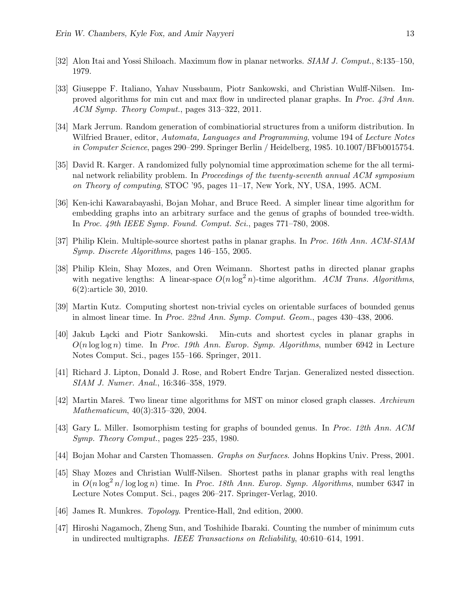- <span id="page-13-9"></span>[32] Alon Itai and Yossi Shiloach. Maximum flow in planar networks. SIAM J. Comput., 8:135–150, 1979.
- <span id="page-13-10"></span>[33] Giuseppe F. Italiano, Yahav Nussbaum, Piotr Sankowski, and Christian Wulff-Nilsen. Improved algorithms for min cut and max flow in undirected planar graphs. In Proc. 43rd Ann. ACM Symp. Theory Comput., pages 313–322, 2011.
- <span id="page-13-2"></span>[34] Mark Jerrum. Random generation of combinatiorial structures from a uniform distribution. In Wilfried Brauer, editor, Automata, Languages and Programming, volume 194 of Lecture Notes in Computer Science, pages 290–299. Springer Berlin / Heidelberg, 1985. 10.1007/BFb0015754.
- <span id="page-13-0"></span>[35] David R. Karger. A randomized fully polynomial time approximation scheme for the all terminal network reliability problem. In *Proceedings of the twenty-seventh annual ACM symposium* on Theory of computing, STOC '95, pages 11–17, New York, NY, USA, 1995. ACM.
- <span id="page-13-12"></span>[36] Ken-ichi Kawarabayashi, Bojan Mohar, and Bruce Reed. A simpler linear time algorithm for embedding graphs into an arbitrary surface and the genus of graphs of bounded tree-width. In Proc. 49th IEEE Symp. Found. Comput. Sci., pages 771–780, 2008.
- <span id="page-13-7"></span>[37] Philip Klein. Multiple-source shortest paths in planar graphs. In Proc. 16th Ann. ACM-SIAM Symp. Discrete Algorithms, pages 146–155, 2005.
- <span id="page-13-4"></span>[38] Philip Klein, Shay Mozes, and Oren Weimann. Shortest paths in directed planar graphs with negative lengths: A linear-space  $O(n \log^2 n)$ -time algorithm. ACM Trans. Algorithms, 6(2):article 30, 2010.
- <span id="page-13-15"></span>[39] Martin Kutz. Computing shortest non-trivial cycles on orientable surfaces of bounded genus in almost linear time. In Proc. 22nd Ann. Symp. Comput. Geom., pages 430–438, 2006.
- <span id="page-13-11"></span>[40] Jakub L¸acki and Piotr Sankowski. Min-cuts and shortest cycles in planar graphs in  $O(n \log \log n)$  time. In Proc. 19th Ann. Europ. Symp. Algorithms, number 6942 in Lecture Notes Comput. Sci., pages 155–166. Springer, 2011.
- <span id="page-13-5"></span>[41] Richard J. Lipton, Donald J. Rose, and Robert Endre Tarjan. Generalized nested dissection. SIAM J. Numer. Anal., 16:346–358, 1979.
- <span id="page-13-3"></span>[42] Martin Mareš. Two linear time algorithms for MST on minor closed graph classes. Archivum Mathematicum, 40(3):315–320, 2004.
- <span id="page-13-8"></span>[43] Gary L. Miller. Isomorphism testing for graphs of bounded genus. In Proc. 12th Ann. ACM Symp. Theory Comput., pages 225–235, 1980.
- <span id="page-13-14"></span>[44] Bojan Mohar and Carsten Thomassen. Graphs on Surfaces. Johns Hopkins Univ. Press, 2001.
- <span id="page-13-6"></span>[45] Shay Mozes and Christian Wulff-Nilsen. Shortest paths in planar graphs with real lengths in  $O(n \log^2 n / \log \log n)$  time. In Proc. 18th Ann. Europ. Symp. Algorithms, number 6347 in Lecture Notes Comput. Sci., pages 206–217. Springer-Verlag, 2010.
- <span id="page-13-13"></span>[46] James R. Munkres. Topology. Prentice-Hall, 2nd edition, 2000.
- <span id="page-13-1"></span>[47] Hiroshi Nagamoch, Zheng Sun, and Toshihide Ibaraki. Counting the number of minimum cuts in undirected multigraphs. IEEE Transactions on Reliability, 40:610–614, 1991.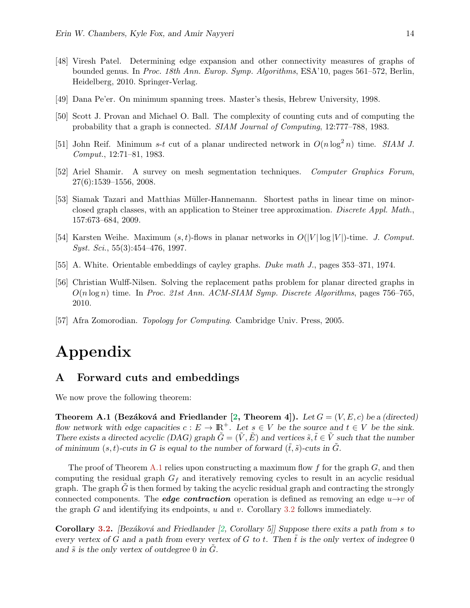- <span id="page-14-8"></span>[48] Viresh Patel. Determining edge expansion and other connectivity measures of graphs of bounded genus. In Proc. 18th Ann. Europ. Symp. Algorithms, ESA'10, pages 561–572, Berlin, Heidelberg, 2010. Springer-Verlag.
- <span id="page-14-2"></span>[49] Dana Pe'er. On minimum spanning trees. Master's thesis, Hebrew University, 1998.
- <span id="page-14-0"></span>[50] Scott J. Provan and Michael O. Ball. The complexity of counting cuts and of computing the probability that a graph is connected. SIAM Journal of Computing, 12:777–788, 1983.
- <span id="page-14-5"></span>[51] John Reif. Minimum s-t cut of a planar undirected network in  $O(n \log^2 n)$  time. SIAM J. Comput., 12:71–81, 1983.
- <span id="page-14-1"></span>[52] Ariel Shamir. A survey on mesh segmentation techniques. Computer Graphics Forum, 27(6):1539–1556, 2008.
- <span id="page-14-3"></span>[53] Siamak Tazari and Matthias Müller-Hannemann. Shortest paths in linear time on minorclosed graph classes, with an application to Steiner tree approximation. Discrete Appl. Math., 157:673–684, 2009.
- <span id="page-14-6"></span>[54] Karsten Weihe. Maximum  $(s, t)$ -flows in planar networks in  $O(|V| \log |V|)$ -time. J. Comput.  $Syst. Sci., 55(3):454–476, 1997.$
- <span id="page-14-7"></span>[55] A. White. Orientable embeddings of cayley graphs. Duke math J., pages 353–371, 1974.
- <span id="page-14-4"></span>[56] Christian Wulff-Nilsen. Solving the replacement paths problem for planar directed graphs in  $O(n \log n)$  time. In *Proc. 21st Ann. ACM-SIAM Symp. Discrete Algorithms*, pages 756–765, 2010.
- <span id="page-14-9"></span>[57] Afra Zomorodian. Topology for Computing. Cambridge Univ. Press, 2005.

# Appendix

## <span id="page-14-10"></span>A Forward cuts and embeddings

<span id="page-14-11"></span>We now prove the following theorem:

Theorem A.1 (Bezáková and Friedlander [\[2,](#page-11-0) Theorem 4]). Let  $G = (V, E, c)$  be a (directed) flow network with edge capacities  $c : E \to \mathbb{R}^+$ . Let  $s \in V$  be the source and  $t \in V$  be the sink. There exists a directed acyclic (DAG) graph  $\tilde{G} = (\tilde{V}, \tilde{E})$  and vertices  $\tilde{s}, \tilde{t} \in \tilde{V}$  such that the number of minimum  $(s, t)$ -cuts in G is equal to the number of forward  $(\tilde{t}, \tilde{s})$ -cuts in G.

The proof of Theorem [A.1](#page-14-11) relies upon constructing a maximum flow f for the graph  $G$ , and then computing the residual graph  $G_f$  and iteratively removing cycles to result in an acyclic residual graph. The graph  $G$  is then formed by taking the acyclic residual graph and contracting the strongly connected components. The *edge contraction* operation is defined as removing an edge  $u\rightarrow v$  of the graph  $G$  and identifying its endpoints,  $u$  and  $v$ . Corollary [3.2](#page-5-2) follows immediately.

**Corollary [3.2.](#page-5-2)** [Bezáková and Friedlander [\[2,](#page-11-0) Corollary 5]] Suppose there exits a path from s to every vertex of G and a path from every vertex of G to t. Then t is the only vertex of indegree  $0$ and  $\tilde{s}$  is the only vertex of outdegree 0 in  $\tilde{G}$ .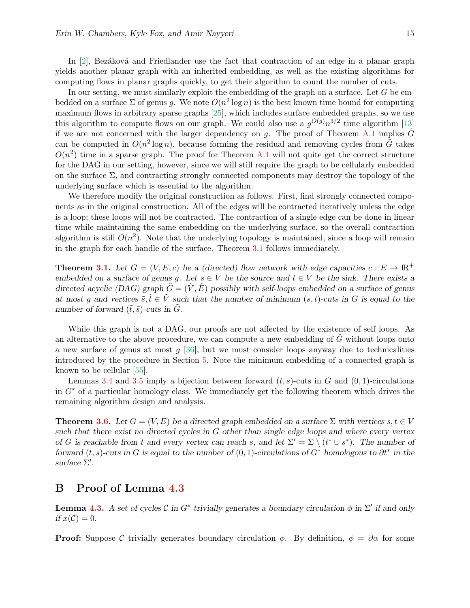In  $[2]$ , Bezáková and Friedlander use the fact that contraction of an edge in a planar graph yields another planar graph with an inherited embedding, as well as the existing algorithms for computing flows in planar graphs quickly, to get their algorithm to count the number of cuts.

In our setting, we must similarly exploit the embedding of the graph on a surface. Let  $G$  be embedded on a surface  $\Sigma$  of genus g. We note  $O(n^2 \log n)$  is the best known time bound for computing maximum flows in arbitrary sparse graphs [\[25\]](#page-12-13), which includes surface embedded graphs, so we use this algorithm to compute flows on our graph. We could also use a  $g^{O(g)}n^{3/2}$  time algorithm [\[13\]](#page-11-3) if we are not concerned with the larger dependency on  $g$ . The proof of Theorem [A.1](#page-14-11) implies  $G$ can be computed in  $O(n^2 \log n)$ , because forming the residual and removing cycles from  $\tilde{G}$  takes  $O(n^2)$  time in a sparse graph. The proof for Theorem [A.1](#page-14-11) will not quite get the correct structure for the DAG in our setting, however, since we will still require the graph to be cellularly embedded on the surface  $\Sigma$ , and contracting strongly connected components may destroy the topology of the underlying surface which is essential to the algorithm.

We therefore modify the original construction as follows. First, find strongly connected components as in the original construction. All of the edges will be contracted iteratively unless the edge is a loop; these loops will not be contracted. The contraction of a single edge can be done in linear time while maintaining the same embedding on the underlying surface, so the overall contraction algorithm is still  $O(n^2)$ . Note that the underlying topology is maintained, since a loop will remain in the graph for each handle of the surface. Theorem [3.1](#page-5-1) follows immediately.

**Theorem [3.1.](#page-5-1)** Let  $G = (V, E, c)$  be a (directed) flow network with edge capacities  $c : E \to \mathbb{R}^+$ embedded on a surface of genus g. Let  $s \in V$  be the source and  $t \in V$  be the sink. There exists a directed acyclic (DAG) graph  $\tilde{G} = (\tilde{V}, \tilde{E})$  possibly with self-loops embedded on a surface of genus at most q and vertices  $\tilde{s}, \tilde{t} \in \tilde{V}$  such that the number of minimum  $(s, t)$ -cuts in G is equal to the number of forward  $(\tilde{t}, \tilde{s})$ -cuts in  $\tilde{G}$ .

While this graph is not a DAG, our proofs are not affected by the existence of self loops. As an alternative to the above procedure, we can compute a new embedding of  $G$  without loops onto a new surface of genus at most  $g$  [\[36\]](#page-13-12), but we must consider loops anyway due to technicalities introduced by the procedure in Section [5.](#page-9-0) Note the minimum embedding of a connected graph is known to be cellular [\[55\]](#page-14-7).

Lemmas [3.4](#page-6-0) and [3.5](#page-6-1) imply a bijection between forward  $(t, s)$ -cuts in G and  $(0, 1)$ -circulations in  $G^*$  of a particular homology class. We immediately get the following theorem which drives the remaining algorithm design and analysis.

**Theorem [3.6.](#page-6-2)** Let  $G = (V, E)$  be a directed graph embedded on a surface  $\Sigma$  with vertices  $s, t \in V$ such that there exist no directed cycles in G other than single edge loops and where every vertex of G is reachable from t and every vertex can reach s, and let  $\Sigma' = \Sigma \setminus (t^* \cup s^*)$ . The number of forward  $(t, s)$ -cuts in G is equal to the number of  $(0, 1)$ -circulations of  $G^*$  homologous to  $\partial t^*$  in the surface  $\Sigma'$ .

## <span id="page-15-0"></span>B Proof of Lemma [4.3](#page-7-3)

**Lemma [4.3.](#page-7-3)** A set of cycles C in  $G^*$  trivially generates a boundary circulation  $\phi$  in  $\Sigma'$  if and only if  $x(\mathcal{C})=0$ .

**Proof:** Suppose C trivially generates boundary circulation  $\phi$ . By definition,  $\phi = \partial \alpha$  for some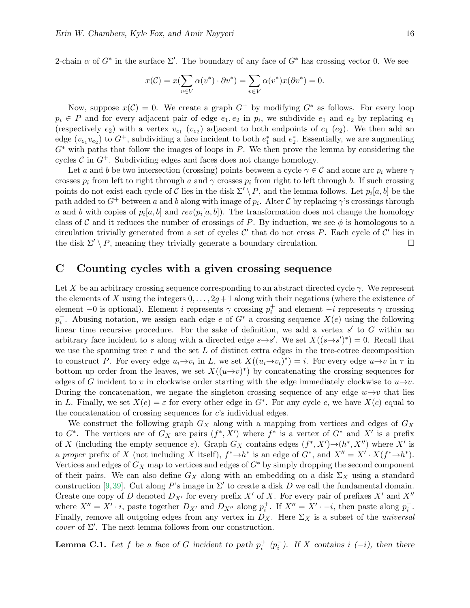2-chain  $\alpha$  of  $G^*$  in the surface  $\Sigma'$ . The boundary of any face of  $G^*$  has crossing vector 0. We see

$$
x(\mathcal{C}) = x(\sum_{v \in V} \alpha(v^*) \cdot \partial v^*) = \sum_{v \in V} \alpha(v^*) x(\partial v^*) = 0.
$$

Now, suppose  $x(\mathcal{C}) = 0$ . We create a graph  $G^+$  by modifying  $G^*$  as follows. For every loop  $p_i \in P$  and for every adjacent pair of edge  $e_1, e_2$  in  $p_i$ , we subdivide  $e_1$  and  $e_2$  by replacing  $e_1$ (respectively  $e_2$ ) with a vertex  $v_{e_1}$  ( $v_{e_2}$ ) adjacent to both endpoints of  $e_1$  ( $e_2$ ). We then add an edge  $(v_{e_1}v_{e_2})$  to  $G^+$ , subdividing a face incident to both  $e_1^*$  and  $e_2^*$ . Essentially, we are augmenting  $G^*$  with paths that follow the images of loops in P. We then prove the lemma by considering the cycles  $\mathcal C$  in  $G^+$ . Subdividing edges and faces does not change homology.

Let a and b be two intersection (crossing) points between a cycle  $\gamma \in \mathcal{C}$  and some arc  $p_i$  where  $\gamma$ crosses  $p_i$  from left to right through a and  $\gamma$  crosses  $p_i$  from right to left through b. If such crossing points do not exist each cycle of C lies in the disk  $\Sigma' \setminus P$ , and the lemma follows. Let  $p_i[a, b]$  be the path added to  $G^+$  between a and b along with image of  $p_i$ . Alter C by replacing  $\gamma$ 's crossings through a and b with copies of  $p_i[a, b]$  and  $rev(p_i[a, b])$ . The transformation does not change the homology class of C and it reduces the number of crossings of P. By induction, we see  $\phi$  is homologous to a circulation trivially generated from a set of cycles  $\mathcal{C}'$  that do not cross P. Each cycle of  $\mathcal{C}'$  lies in the disk  $\Sigma' \setminus P$ , meaning they trivially generate a boundary circulation.

## <span id="page-16-0"></span>C Counting cycles with a given crossing sequence

Let X be an arbitrary crossing sequence corresponding to an abstract directed cycle  $\gamma$ . We represent the elements of X using the integers  $0, \ldots, 2g+1$  along with their negations (where the existence of element −0 is optional). Element i represents  $\gamma$  crossing  $p_i^+$  and element −i represents  $\gamma$  crossing  $p_i^-$ . Abusing notation, we assign each edge e of  $G^*$  a crossing sequence  $X(e)$  using the following linear time recursive procedure. For the sake of definition, we add a vertex  $s'$  to  $G$  within an arbitrary face incident to s along with a directed edge  $s \rightarrow s'$ . We set  $X((s \rightarrow s')^*) = 0$ . Recall that we use the spanning tree  $\tau$  and the set L of distinct extra edges in the tree-cotree decomposition to construct P. For every edge  $u_i \to v_i$  in L, we set  $X((u_i \to v_i)^*) = i$ . For every edge  $u \to v$  in  $\tau$  in bottom up order from the leaves, we set  $X((u\rightarrow v)^*)$  by concatenating the crossing sequences for edges of G incident to v in clockwise order starting with the edge immediately clockwise to  $u\rightarrow v$ . During the concatenation, we negate the singleton crossing sequence of any edge  $w \rightarrow v$  that lies in L. Finally, we set  $X(e) = \varepsilon$  for every other edge in  $G^*$ . For any cycle c, we have  $X(c)$  equal to the concatenation of crossing sequences for  $c$ 's individual edges.

We construct the following graph  $G_X$  along with a mapping from vertices and edges of  $G_X$ to  $G^*$ . The vertices are of  $G_X$  are pairs  $(f^*, X')$  where  $f^*$  is a vertex of  $G^*$  and  $X'$  is a prefix of X (including the empty sequence  $\varepsilon$ ). Graph  $G_X$  contains edges  $(f^*, X') \rightarrow (h^*, X'')$  where X' is a proper prefix of X (not including X itself),  $f^* \to h^*$  is an edge of  $G^*$ , and  $X'' = X' \cdot X(f^* \to h^*)$ . Vertices and edges of  $G_X$  map to vertices and edges of  $G^*$  by simply dropping the second component of their pairs. We can also define  $G_X$  along with an embedding on a disk  $\Sigma_X$  using a standard construction [\[9,](#page-11-12)[39\]](#page-13-15). Cut along P's image in  $\Sigma'$  to create a disk D we call the fundamental domain. Create one copy of D denoted  $D_{X'}$  for every prefix X' of X. For every pair of prefixes X' and X'' where  $X'' = X' \cdot i$ , paste together  $D_{X'}$  and  $D_{X''}$  along  $p_i^+$ . If  $X'' = X' \cdot -i$ , then paste along  $p_i^-$ . Finally, remove all outgoing edges from any vertex in  $D_X$ . Here  $\Sigma_X$  is a subset of the *universal cover* of  $\Sigma'$ . The next lemma follows from our construction.

**Lemma C.1.** Let f be a face of G incident to path  $p_i^+$   $(p_i^-)$ . If X contains i  $(-i)$ , then there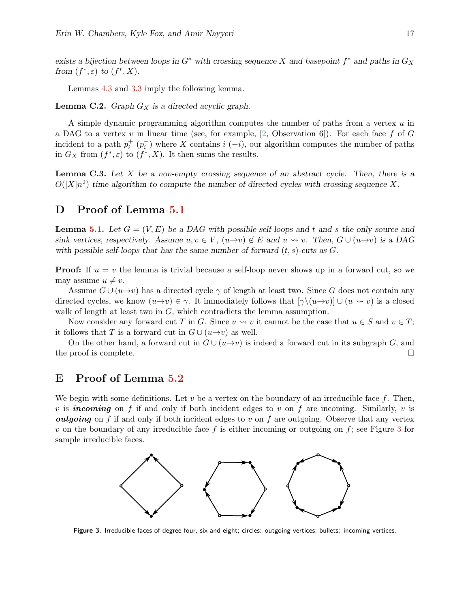exists a bijection between loops in  $G^*$  with crossing sequence X and basepoint  $f^*$  and paths in  $G_X$ from  $(f^*, \varepsilon)$  to  $(f^*, X)$ .

Lemmas [4.3](#page-7-3) and [3.3](#page-5-3) imply the following lemma.

**Lemma C.2.** Graph  $G_X$  is a directed acyclic graph.

A simple dynamic programming algorithm computes the number of paths from a vertex u in a DAG to a vertex v in linear time (see, for example, [\[2,](#page-11-0) Observation 6]). For each face f of G incident to a path  $p_i^+$   $(p_i^-)$  where X contains i  $(-i)$ , our algorithm computes the number of paths in  $G_X$  from  $(f^*, \varepsilon)$  to  $(f^*, X)$ . It then sums the results.

**Lemma C.3.** Let X be a non-empty crossing sequence of an abstract cycle. Then, there is a  $O(|X|n^2)$  time algorithm to compute the number of directed cycles with crossing sequence X.

## <span id="page-17-0"></span>D Proof of Lemma [5.1](#page-9-1)

**Lemma [5.1.](#page-9-1)** Let  $G = (V, E)$  be a DAG with possible self-loops and t and s the only source and sink vertices, respectively. Assume  $u, v \in V$ ,  $(u \rightarrow v) \notin E$  and  $u \rightsquigarrow v$ . Then,  $G \cup (u \rightarrow v)$  is a DAG with possible self-loops that has the same number of forward  $(t, s)$ -cuts as  $G$ .

**Proof:** If  $u = v$  the lemma is trivial because a self-loop never shows up in a forward cut, so we may assume  $u \neq v$ .

Assume  $G \cup (u \rightarrow v)$  has a directed cycle  $\gamma$  of length at least two. Since G does not contain any directed cycles, we know  $(u\rightarrow v) \in \gamma$ . It immediately follows that  $[\gamma \setminus (u\rightarrow v)] \cup (u\rightsquigarrow v)$  is a closed walk of length at least two in  $G$ , which contradicts the lemma assumption.

Now consider any forward cut T in G. Since  $u \rightsquigarrow v$  it cannot be the case that  $u \in S$  and  $v \in T$ ; it follows that T is a forward cut in  $G \cup (u \rightarrow v)$  as well.

On the other hand, a forward cut in  $G \cup (u \rightarrow v)$  is indeed a forward cut in its subgraph G, and the proof is complete.

## <span id="page-17-2"></span>E Proof of Lemma [5.2](#page-9-2)

We begin with some definitions. Let  $v$  be a vertex on the boundary of an irreducible face  $f$ . Then, v is **incoming** on f if and only if both incident edges to v on f are incoming. Similarly, v is *outgoing* on f if and only if both incident edges to v on f are outgoing. Observe that any vertex v on the boundary of any irreducible face f is either incoming or outgoing on f; see Figure [3](#page-17-1) for sample irreducible faces.



<span id="page-17-1"></span>Figure 3. Irreducible faces of degree four, six and eight; circles: outgoing vertices; bullets: incoming vertices.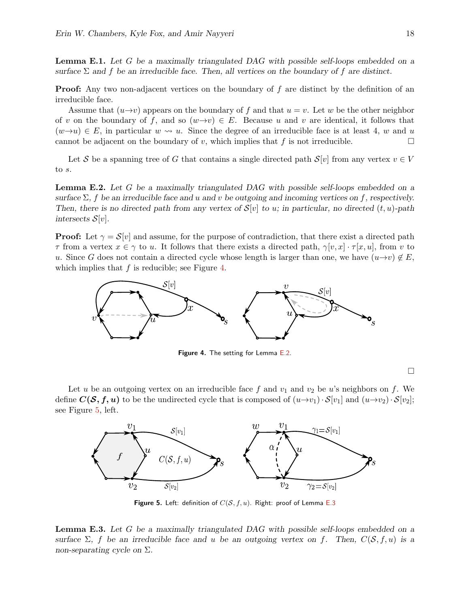**Lemma E.1.** Let G be a maximally triangulated DAG with possible self-loops embedded on a surface  $\Sigma$  and f be an irreducible face. Then, all vertices on the boundary of f are distinct.

**Proof:** Any two non-adjacent vertices on the boundary of  $f$  are distinct by the definition of an irreducible face.

Assume that  $(u\rightarrow v)$  appears on the boundary of f and that  $u = v$ . Let w be the other neighbor of v on the boundary of f, and so  $(w\rightarrow v) \in E$ . Because u and v are identical, it follows that  $(w\rightarrow u) \in E$ , in particular  $w \rightsquigarrow u$ . Since the degree of an irreducible face is at least 4, w and u cannot be adjacent on the boundary of v, which implies that f is not irreducible.

Let S be a spanning tree of G that contains a single directed path  $S[v]$  from any vertex  $v \in V$ to s.

<span id="page-18-1"></span>**Lemma E.2.** Let G be a maximally triangulated DAG with possible self-loops embedded on a surface  $\Sigma$ , f be an irreducible face and u and v be outgoing and incoming vertices on f, respectively. Then, there is no directed path from any vertex of  $S[v]$  to u; in particular, no directed  $(t, u)$ -path intersects  $S[v]$ .

**Proof:** Let  $\gamma = \mathcal{S}[v]$  and assume, for the purpose of contradiction, that there exist a directed path  $\tau$  from a vertex  $x \in \gamma$  to u. It follows that there exists a directed path,  $\gamma[v, x] \cdot \tau[x, u]$ , from v to u. Since G does not contain a directed cycle whose length is larger than one, we have  $(u\rightarrow v) \notin E$ , which implies that  $f$  is reducible; see Figure [4.](#page-18-0)



<span id="page-18-0"></span>Figure 4. The setting for Lemma [E.2.](#page-18-1)

 $\Box$ 

Let u be an outgoing vertex on an irreducible face f and  $v_1$  and  $v_2$  be u's neighbors on f. We define  $C(\mathcal{S}, f, u)$  to be the undirected cycle that is composed of  $(u \rightarrow v_1) \cdot S[v_1]$  and  $(u \rightarrow v_2) \cdot S[v_2]$ ; see Figure [5,](#page-18-2) left.



<span id="page-18-2"></span>Figure 5. Left: definition of  $C(S, f, u)$ . Right: proof of Lemma [E.3](#page-18-3)

<span id="page-18-3"></span>**Lemma E.3.** Let G be a maximally triangulated DAG with possible self-loops embedded on a surface  $\Sigma$ , f be an irreducible face and u be an outgoing vertex on f. Then,  $C(S, f, u)$  is a non-separating cycle on  $\Sigma$ .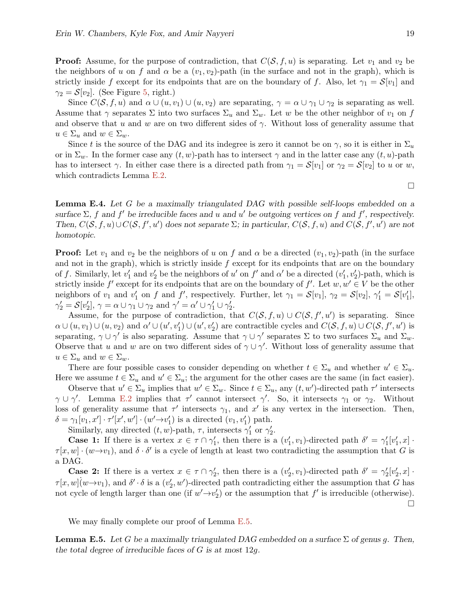**Proof:** Assume, for the purpose of contradiction, that  $C(\mathcal{S}, f, u)$  is separating. Let  $v_1$  and  $v_2$  be the neighbors of u on f and  $\alpha$  be a  $(v_1, v_2)$ -path (in the surface and not in the graph), which is strictly inside f except for its endpoints that are on the boundary of f. Also, let  $\gamma_1 = \mathcal{S}[v_1]$  and  $\gamma_2 = \mathcal{S}[v_2]$ . (See Figure [5,](#page-18-2) right.)

Since  $C(\mathcal{S}, f, u)$  and  $\alpha \cup (u, v_1) \cup (u, v_2)$  are separating,  $\gamma = \alpha \cup \gamma_1 \cup \gamma_2$  is separating as well. Assume that  $\gamma$  separates  $\Sigma$  into two surfaces  $\Sigma_u$  and  $\Sigma_w$ . Let w be the other neighbor of  $v_1$  on f and observe that u and w are on two different sides of  $\gamma$ . Without loss of generality assume that  $u \in \Sigma_u$  and  $w \in \Sigma_w$ .

Since t is the source of the DAG and its indegree is zero it cannot be on  $\gamma$ , so it is either in  $\Sigma_u$ or in  $\Sigma_w$ . In the former case any  $(t, w)$ -path has to intersect  $\gamma$  and in the latter case any  $(t, u)$ -path has to intersect  $\gamma$ . In either case there is a directed path from  $\gamma_1 = \mathcal{S}[v_1]$  or  $\gamma_2 = \mathcal{S}[v_2]$  to u or w, which contradicts Lemma [E.2.](#page-18-1)

<span id="page-19-1"></span>Lemma E.4. Let G be a maximally triangulated DAG with possible self-loops embedded on a surface  $\Sigma$ , f and f' be irreducible faces and u and u' be outgoing vertices on f and f', respectively. Then,  $C(S, f, u) \cup C(S, f', u')$  does not separate  $\Sigma$ ; in particular,  $C(S, f, u)$  and  $C(S, f', u')$  are not homotopic.

**Proof:** Let  $v_1$  and  $v_2$  be the neighbors of u on f and  $\alpha$  be a directed  $(v_1, v_2)$ -path (in the surface and not in the graph), which is strictly inside  $f$  except for its endpoints that are on the boundary of f. Similarly, let  $v'_1$  and  $v'_2$  be the neighbors of u' on f' and  $\alpha'$  be a directed  $(v'_1, v'_2)$ -path, which is strictly inside  $f'$  except for its endpoints that are on the boundary of f'. Let  $w, w' \in V$  be the other neighbors of  $v_1$  and  $v'_1$  on f and f', respectively. Further, let  $\gamma_1 = \mathcal{S}[v_1]$ ,  $\gamma_2 = \mathcal{S}[v_2]$ ,  $\gamma'_1 = \mathcal{S}[v'_1]$ ,  $\gamma_2' = \mathcal{S}[v_2'], \gamma = \alpha \cup \gamma_1 \cup \gamma_2 \text{ and } \gamma' = \alpha' \cup \gamma_1' \cup \gamma_2'.$ 

Assume, for the purpose of contradiction, that  $C(S, f, u) \cup C(S, f', u')$  is separating. Since  $\alpha\cup(u,v_1)\cup(u,v_2)$  and  $\alpha'\cup(u',v'_1)\cup(u',v'_2)$  are contractible cycles and  $C(\mathcal{S},f,u)\cup C(\mathcal{S},f',u')$  is separating,  $\gamma \cup \gamma'$  is also separating. Assume that  $\gamma \cup \gamma'$  separates  $\Sigma$  to two surfaces  $\Sigma_u$  and  $\Sigma_w$ . Observe that u and w are on two different sides of  $\gamma \cup \gamma'$ . Without loss of generality assume that  $u \in \Sigma_u$  and  $w \in \Sigma_w$ .

There are four possible cases to consider depending on whether  $t \in \Sigma_u$  and whether  $u' \in \Sigma_u$ . Here we assume  $t \in \Sigma_u$  and  $u' \in \Sigma_u$ ; the argument for the other cases are the same (in fact easier).

Observe that  $u' \in \Sigma_u$  implies that  $w' \in \Sigma_w$ . Since  $t \in \Sigma_u$ , any  $(t, w')$ -directed path  $\tau'$  intersects  $\gamma \cup \gamma'$ . Lemma [E.2](#page-18-1) implies that  $\tau'$  cannot intersect  $\gamma'$ . So, it intersects  $\gamma_1$  or  $\gamma_2$ . Without loss of generality assume that  $\tau'$  intersects  $\gamma_1$ , and  $x'$  is any vertex in the intersection. Then,  $\delta = \gamma_1[v_1, x'] \cdot \tau'[x', w'] \cdot (w' \rightarrow v'_1)$  is a directed  $(v_1, v'_1)$  path.

Similarly, any directed  $(t, w)$ -path,  $\tau$ , intersects  $\gamma'_1$  or  $\gamma'_2$ .

**Case 1:** If there is a vertex  $x \in \tau \cap \gamma'_1$ , then there is a  $(v'_1, v_1)$ -directed path  $\delta' = \gamma'_1[v'_1, x]$ .  $\tau[x,w] \cdot (w \rightarrow v_1)$ , and  $\delta \cdot \delta'$  is a cycle of length at least two contradicting the assumption that G is a DAG.

**Case 2:** If there is a vertex  $x \in \tau \cap \gamma_2'$ , then there is a  $(v_2', v_1)$ -directed path  $\delta' = \gamma_2' [v_2', x]$ .  $\tau[x,w](w\rightarrow v_1)$ , and  $\delta' \cdot \delta$  is a  $(v_2',w')$ -directed path contradicting either the assumption that G has not cycle of length larger than one (if  $w' \rightarrow v'_2$ ) or the assumption that  $f'$  is irreducible (otherwise).  $\Box$ 

We may finally complete our proof of Lemma [E.5.](#page-19-0)

<span id="page-19-0"></span>**Lemma E.5.** Let G be a maximally triangulated DAG embedded on a surface  $\Sigma$  of genus g. Then, the total degree of irreducible faces of  $G$  is at most 12g.

 $\Box$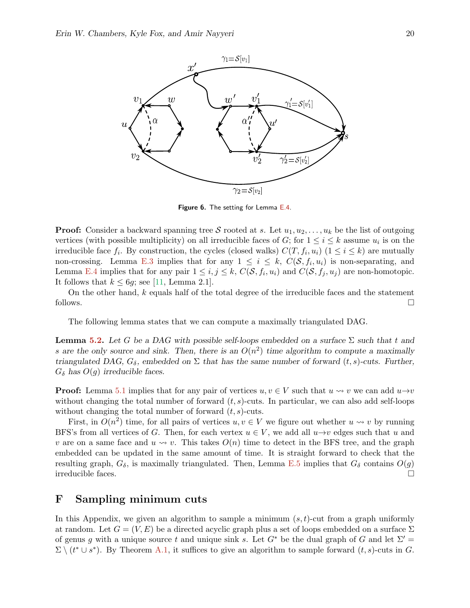

Figure 6. The setting for Lemma [E.4.](#page-19-1)

**Proof:** Consider a backward spanning tree S rooted at s. Let  $u_1, u_2, \ldots, u_k$  be the list of outgoing vertices (with possible multiplicity) on all irreducible faces of G; for  $1 \leq i \leq k$  assume  $u_i$  is on the irreducible face  $f_i$ . By construction, the cycles (closed walks)  $C(T, f_i, u_i)$   $(1 \le i \le k)$  are mutually non-crossing. Lemma [E.3](#page-18-3) implies that for any  $1 \leq i \leq k$ ,  $C(\mathcal{S}, f_i, u_i)$  is non-separating, and Lemma [E.4](#page-19-1) implies that for any pair  $1 \leq i, j \leq k, C(\mathcal{S}, f_i, u_i)$  and  $C(\mathcal{S}, f_j, u_j)$  are non-homotopic. It follows that  $k \leq 6g$ ; see [\[11,](#page-11-11) Lemma 2.1].

On the other hand,  $k$  equals half of the total degree of the irreducible faces and the statement follows.  $\Box$ 

The following lemma states that we can compute a maximally triangulated DAG.

**Lemma [5.2.](#page-9-2)** Let G be a DAG with possible self-loops embedded on a surface  $\Sigma$  such that t and s are the only source and sink. Then, there is an  $O(n^2)$  time algorithm to compute a maximally triangulated DAG,  $G_{\delta}$ , embedded on  $\Sigma$  that has the same number of forward  $(t, s)$ -cuts. Further,  $G_{\delta}$  has  $O(g)$  irreducible faces.

**Proof:** Lemma [5.1](#page-9-1) implies that for any pair of vertices  $u, v \in V$  such that  $u \rightsquigarrow v$  we can add  $u \rightarrow v$ without changing the total number of forward  $(t, s)$ -cuts. In particular, we can also add self-loops without changing the total number of forward  $(t, s)$ -cuts.

First, in  $O(n^2)$  time, for all pairs of vertices  $u, v \in V$  we figure out whether  $u \leadsto v$  by running BFS's from all vertices of G. Then, for each vertex  $u \in V$ , we add all  $u \rightarrow v$  edges such that u and v are on a same face and  $u \rightsquigarrow v$ . This takes  $O(n)$  time to detect in the BFS tree, and the graph embedded can be updated in the same amount of time. It is straight forward to check that the resulting graph,  $G_{\delta}$ , is maximally triangulated. Then, Lemma [E.5](#page-19-0) implies that  $G_{\delta}$  contains  $O(g)$ irreducible faces.

## <span id="page-20-0"></span>F Sampling minimum cuts

In this Appendix, we given an algorithm to sample a minimum  $(s, t)$ -cut from a graph uniformly at random. Let  $G = (V, E)$  be a directed acyclic graph plus a set of loops embedded on a surface  $\Sigma$ of genus g with a unique source t and unique sink s. Let  $G^*$  be the dual graph of G and let  $\Sigma' =$  $\Sigma \setminus (t^* \cup s^*)$ . By Theorem [A.1,](#page-14-11) it suffices to give an algorithm to sample forward  $(t, s)$ -cuts in G.